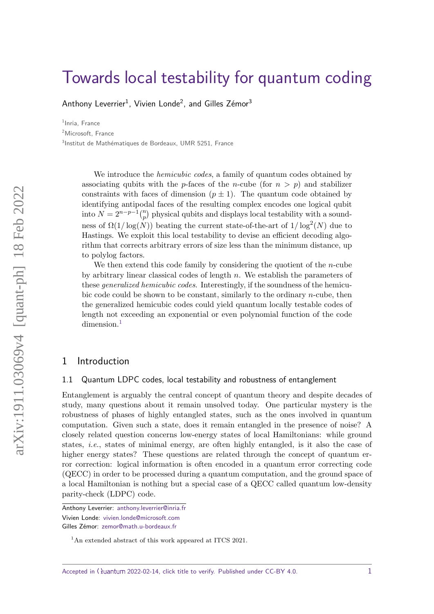# [Towards local testability for quantum coding](https://quantum-journal.org/?s=Towards%20local%20testability%20for%20quantum%20coding&reason=title-click)

[Anthony Leverrier](https://orcid.org/0000-0002-6707-1458) $^1$ , Vivien Londe $^2$ , and Gilles Zémor $^3$ 

<sup>1</sup>Inria, France <sup>2</sup>Microsoft, France <sup>3</sup>Institut de Mathématiques de Bordeaux, UMR 5251, France

> We introduce the *hemicubic codes*, a family of quantum codes obtained by associating qubits with the *p*-faces of the *n*-cube (for  $n > p$ ) and stabilizer constraints with faces of dimension  $(p \pm 1)$ . The quantum code obtained by identifying antipodal faces of the resulting complex encodes one logical qubit into  $N = 2^{n-p-1} {n \choose p}$  physical qubits and displays local testability with a soundness of  $\Omega(1/\log(N))$  beating the current state-of-the-art of  $1/\log^2(N)$  due to Hastings. We exploit this local testability to devise an efficient decoding algorithm that corrects arbitrary errors of size less than the minimum distance, up to polylog factors.

> We then extend this code family by considering the quotient of the *n*-cube by arbitrary linear classical codes of length *n*. We establish the parameters of these generalized hemicubic codes. Interestingly, if the soundness of the hemicubic code could be shown to be constant, similarly to the ordinary *n*-cube, then the generalized hemicubic codes could yield quantum locally testable codes of length not exceeding an exponential or even polynomial function of the code dimension.<sup>[1](#page-0-0)</sup>

# 1 Introduction

# 1.1 Quantum LDPC codes, local testability and robustness of entanglement

Entanglement is arguably the central concept of quantum theory and despite decades of study, many questions about it remain unsolved today. One particular mystery is the robustness of phases of highly entangled states, such as the ones involved in quantum computation. Given such a state, does it remain entangled in the presence of noise? A closely related question concerns low-energy states of local Hamiltonians: while ground states, i.e., states of minimal energy, are often highly entangled, is it also the case of higher energy states? These questions are related through the concept of quantum error correction: logical information is often encoded in a quantum error correcting code (QECC) in order to be processed during a quantum computation, and the ground space of a local Hamiltonian is nothing but a special case of a QECC called quantum low-density parity-check (LDPC) code.

Anthony Leverrier: [anthony.leverrier@inria.fr](mailto:anthony.leverrier@inria.fr)

Vivien Londe: [vivien.londe@microsoft.com](mailto:vivien.londe@microsoft.com)

Gilles Zémor: [zemor@math.u-bordeaux.fr](mailto:zemor@math.u-bordeaux.fr)

<span id="page-0-0"></span><sup>&</sup>lt;sup>1</sup>An extended abstract of this work appeared at ITCS 2021.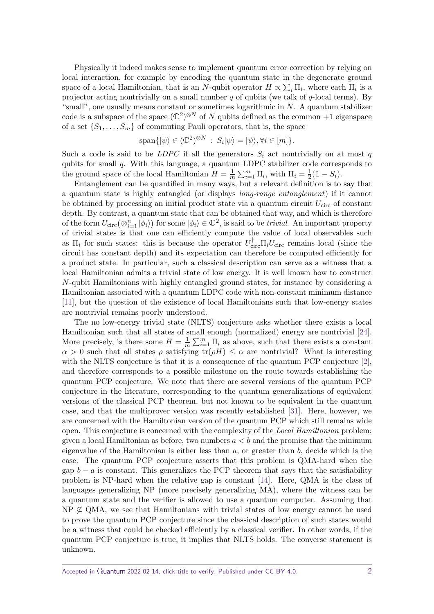Physically it indeed makes sense to implement quantum error correction by relying on local interaction, for example by encoding the quantum state in the degenerate ground space of a local Hamiltonian, that is an *N*-qubit operator  $H \propto \sum_i \Pi_i$ , where each  $\Pi_i$  is a projector acting nontrivially on a small number *q* of qubits (we talk of *q*-local terms). By "small", one usually means constant or sometimes logarithmic in *N*. A quantum stabilizer code is a subspace of the space  $(\mathbb{C}^2)^{\otimes N}$  of N qubits defined as the common  $+1$  eigenspace of a set  $\{S_1, \ldots, S_m\}$  of commuting Pauli operators, that is, the space

$$
\text{span}\{|\psi\rangle \in (\mathbb{C}^2)^{\otimes N} : S_i|\psi\rangle = |\psi\rangle, \forall i \in [m]\}.
$$

Such a code is said to be *LDPC* if all the generators  $S_i$  act nontrivially on at most  $q$ qubits for small *q*. With this language, a quantum LDPC stabilizer code corresponds to the ground space of the local Hamiltonian  $H = \frac{1}{n}$  $\frac{1}{m}\sum_{i=1}^{m}\Pi_i$ , with  $\Pi_i = \frac{1}{2}$  $\frac{1}{2}(\mathbb{1} - S_i).$ 

Entanglement can be quantified in many ways, but a relevant definition is to say that a quantum state is highly entangled (or displays long-range entanglement) if it cannot be obtained by processing an initial product state via a quantum circuit *U*circ of constant depth. By contrast, a quantum state that can be obtained that way, and which is therefore of the form  $U_{\text{circ}}(\otimes_{i=1}^{n}|\phi_{i})$  for some  $|\phi_{i}\rangle \in \mathbb{C}^{2}$ , is said to be *trivial*. An important property of trivial states is that one can efficiently compute the value of local observables such as  $\Pi_i$  for such states: this is because the operator  $U_{\text{circ}}^{\dagger} \Pi_i U_{\text{circ}}$  remains local (since the circuit has constant depth) and its expectation can therefore be computed efficiently for a product state. In particular, such a classical description can serve as a witness that a local Hamiltonian admits a trivial state of low energy. It is well known how to construct *N*-qubit Hamiltonians with highly entangled ground states, for instance by considering a Hamiltonian associated with a quantum LDPC code with non-constant minimum distance [\[11\]](#page-41-0), but the question of the existence of local Hamiltonians such that low-energy states are nontrivial remains poorly understood.

The no low-energy trivial state (NLTS) conjecture asks whether there exists a local Hamiltonian such that all states of small enough (normalized) energy are nontrivial [\[24\]](#page-41-1). More precisely, is there some  $H = \frac{1}{n}$  $\frac{1}{m} \sum_{i=1}^{m} \Pi_i$  as above, such that there exists a constant  $\alpha > 0$  such that all states  $\rho$  satisfying tr( $\rho H$ )  $\leq \alpha$  are nontrivial? What is interesting with the NLTS conjecture is that it is a consequence of the quantum PCP conjecture [\[2\]](#page-40-0), and therefore corresponds to a possible milestone on the route towards establishing the quantum PCP conjecture. We note that there are several versions of the quantum PCP conjecture in the literature, corresponding to the quantum generalizations of equivalent versions of the classical PCP theorem, but not known to be equivalent in the quantum case, and that the multiprover version was recently established [\[31\]](#page-42-0). Here, however, we are concerned with the Hamiltonian version of the quantum PCP which still remains wide open. This conjecture is concerned with the complexity of the *Local Hamiltonian* problem: given a local Hamiltonian as before, two numbers  $a < b$  and the promise that the minimum eigenvalue of the Hamiltonian is either less than *a*, or greater than *b*, decide which is the case. The quantum PCP conjecture asserts that this problem is QMA-hard when the gap  $b - a$  is constant. This generalizes the PCP theorem that says that the satisfiability problem is NP-hard when the relative gap is constant [\[14\]](#page-41-2). Here, QMA is the class of languages generalizing NP (more precisely generalizing MA), where the witness can be a quantum state and the verifier is allowed to use a quantum computer. Assuming that  $NP \not\subseteq QMA$ , we see that Hamiltonians with trivial states of low energy cannot be used to prove the quantum PCP conjecture since the classical description of such states would be a witness that could be checked efficiently by a classical verifier. In other words, if the quantum PCP conjecture is true, it implies that NLTS holds. The converse statement is unknown.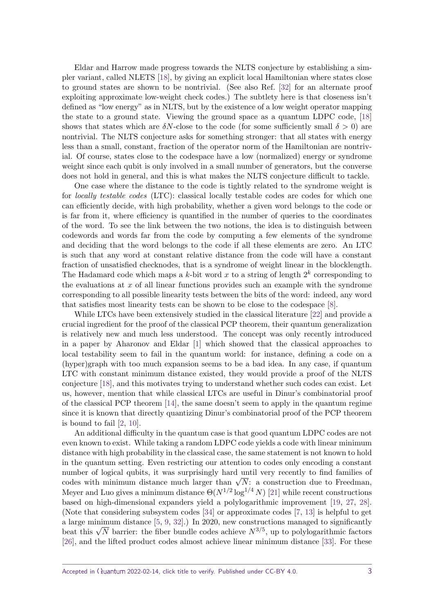Eldar and Harrow made progress towards the NLTS conjecture by establishing a simpler variant, called NLETS [\[18\]](#page-41-3), by giving an explicit local Hamiltonian where states close to ground states are shown to be nontrivial. (See also Ref. [\[32\]](#page-42-1) for an alternate proof exploiting approximate low-weight check codes.) The subtlety here is that closeness isn't defined as "low energy" as in NLTS, but by the existence of a low weight operator mapping the state to a ground state. Viewing the ground space as a quantum LDPC code, [\[18\]](#page-41-3) shows that states which are  $\delta N$ -close to the code (for some sufficiently small  $\delta > 0$ ) are nontrivial. The NLTS conjecture asks for something stronger: that all states with energy less than a small, constant, fraction of the operator norm of the Hamiltonian are nontrivial. Of course, states close to the codespace have a low (normalized) energy or syndrome weight since each qubit is only involved in a small number of generators, but the converse does not hold in general, and this is what makes the NLTS conjecture difficult to tackle.

One case where the distance to the code is tightly related to the syndrome weight is for locally testable codes (LTC): classical locally testable codes are codes for which one can efficiently decide, with high probability, whether a given word belongs to the code or is far from it, where efficiency is quantified in the number of queries to the coordinates of the word. To see the link between the two notions, the idea is to distinguish between codewords and words far from the code by computing a few elements of the syndrome and deciding that the word belongs to the code if all these elements are zero. An LTC is such that any word at constant relative distance from the code will have a constant fraction of unsatisfied checknodes, that is a syndrome of weight linear in the blocklength. The Hadamard code which maps a  $k$ -bit word  $x$  to a string of length  $2^k$  corresponding to the evaluations at *x* of all linear functions provides such an example with the syndrome corresponding to all possible linearity tests between the bits of the word: indeed, any word that satisfies most linearity tests can be shown to be close to the codespace [\[8\]](#page-40-1).

While LTCs have been extensively studied in the classical literature [\[22\]](#page-41-4) and provide a crucial ingredient for the proof of the classical PCP theorem, their quantum generalization is relatively new and much less understood. The concept was only recently introduced in a paper by Aharonov and Eldar [\[1\]](#page-40-2) which showed that the classical approaches to local testability seem to fail in the quantum world: for instance, defining a code on a (hyper)graph with too much expansion seems to be a bad idea. In any case, if quantum LTC with constant minimum distance existed, they would provide a proof of the NLTS conjecture [\[18\]](#page-41-3), and this motivates trying to understand whether such codes can exist. Let us, however, mention that while classical LTCs are useful in Dinur's combinatorial proof of the classical PCP theorem [\[14\]](#page-41-2), the same doesn't seem to apply in the quantum regime since it is known that directly quantizing Dinur's combinatorial proof of the PCP theorem is bound to fail [\[2,](#page-40-0) [10\]](#page-41-5).

An additional difficulty in the quantum case is that good quantum LDPC codes are not even known to exist. While taking a random LDPC code yields a code with linear minimum distance with high probability in the classical case, the same statement is not known to hold in the quantum setting. Even restricting our attention to codes only encoding a constant number of logical qubits, it was surprisingly hard until very recently to find families of number of logical qubits, it was surprisingly hard until very recently to find families of codes with minimum distance much larger than  $\sqrt{N}$ : a construction due to Freedman, Meyer and Luo gives a minimum distance  $\Theta(N^{1/2} \log^{1/4} N)$  [\[21\]](#page-41-6) while recent constructions based on high-dimensional expanders yield a polylogarithmic improvement [\[19,](#page-41-7) [27,](#page-42-2) [28\]](#page-42-3). (Note that considering subsystem codes [\[34\]](#page-42-4) or approximate codes [\[7,](#page-40-3) [13\]](#page-41-8) is helpful to get a large minimum distance [\[5,](#page-40-4) [9,](#page-41-9) [32\]](#page-42-1).) In 2020, new constructions managed to significantly a large minimum distance [5, 9, 32].) In 2020, new constructions managed to significantly beat this  $\sqrt{N}$  barrier: the fiber bundle codes achieve  $N^{3/5}$ , up to polylogarithmic factors [\[26\]](#page-42-5), and the lifted product codes almost achieve linear minimum distance [\[33\]](#page-42-6). For these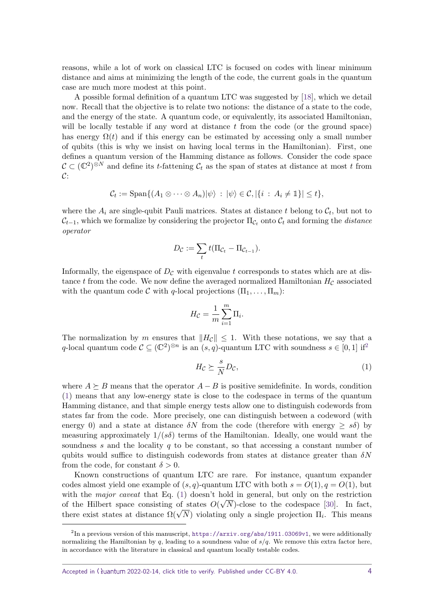reasons, while a lot of work on classical LTC is focused on codes with linear minimum distance and aims at minimizing the length of the code, the current goals in the quantum case are much more modest at this point.

A possible formal definition of a quantum LTC was suggested by [\[18\]](#page-41-3), which we detail now. Recall that the objective is to relate two notions: the distance of a state to the code, and the energy of the state. A quantum code, or equivalently, its associated Hamiltonian, will be locally testable if any word at distance *t* from the code (or the ground space) has energy  $\Omega(t)$  and if this energy can be estimated by accessing only a small number of qubits (this is why we insist on having local terms in the Hamiltonian). First, one defines a quantum version of the Hamming distance as follows. Consider the code space  $\mathcal{C} \subset (\mathbb{C}^2)^{\otimes N}$  and define its *t*-fattening  $\mathcal{C}_t$  as the span of states at distance at most *t* from  $\mathcal{C}$ :

$$
\mathcal{C}_t := \operatorname{Span}\{(A_1 \otimes \cdots \otimes A_n)|\psi\rangle \,:\, |\psi\rangle \in \mathcal{C}, |\{i \,:\, A_i \neq \mathbb{1}\}| \leq t\},\
$$

where the  $A_i$  are single-qubit Pauli matrices. States at distance  $t$  belong to  $\mathcal{C}_t$ , but not to  $C_{t-1}$ , which we formalize by considering the projector  $\Pi_{C_t}$  onto  $C_t$  and forming the *distance* operator

$$
D_{\mathcal{C}} := \sum_t t(\Pi_{\mathcal{C}_t} - \Pi_{\mathcal{C}_{t-1}}).
$$

Informally, the eigenspace of  $D<sub>C</sub>$  with eigenvalue t corresponds to states which are at distance *t* from the code. We now define the averaged normalized Hamiltonian  $H_{\mathcal{C}}$  associated with the quantum code C with q-local projections  $(\Pi_1, \ldots, \Pi_m)$ :

$$
H_{\mathcal{C}} = \frac{1}{m} \sum_{i=1}^{m} \Pi_i.
$$

The normalization by *m* ensures that  $||H_c|| \leq 1$ . With these notations, we say that a *q*-local quantum code  $\mathcal{C} \subseteq (\mathbb{C}^2)^{\otimes n}$  $\mathcal{C} \subseteq (\mathbb{C}^2)^{\otimes n}$  $\mathcal{C} \subseteq (\mathbb{C}^2)^{\otimes n}$  is an  $(s, q)$ -quantum LTC with soundness  $s \in [0, 1]$  if<sup>2</sup>

<span id="page-3-1"></span>
$$
H_{\mathcal{C}} \succeq \frac{s}{N} D_{\mathcal{C}},\tag{1}
$$

where  $A \succeq B$  means that the operator  $A - B$  is positive semidefinite. In words, condition [\(1\)](#page-3-1) means that any low-energy state is close to the codespace in terms of the quantum Hamming distance, and that simple energy tests allow one to distinguish codewords from states far from the code. More precisely, one can distinguish between a codeword (with energy 0) and a state at distance  $\delta N$  from the code (therefore with energy  $\geq s\delta$ ) by measuring approximately  $1/(\overline{s}\delta)$  terms of the Hamiltonian. Ideally, one would want the soundness *s* and the locality *q* to be constant, so that accessing a constant number of qubits would suffice to distinguish codewords from states at distance greater than *δN* from the code, for constant  $\delta > 0$ .

Known constructions of quantum LTC are rare. For instance, quantum expander codes almost yield one example of  $(s, q)$ -quantum LTC with both  $s = O(1), q = O(1)$ , but with the major caveat that Eq. [\(1\)](#page-3-1) doesn't hold in general, but only on the restriction of the Hilbert space consisting of states  $O(\sqrt{N})$ -close to the codespace [\[30\]](#page-42-7). In fact, or the Hilbert space consisting or states  $O(\sqrt{N})$ -close to the codespace [30]. In fact, there exist states at distance  $\Omega(\sqrt{N})$  violating only a single projection  $\Pi_i$ . This means

<span id="page-3-0"></span> $^{2}$ In a previous version of this manuscript, <https://arxiv.org/abs/1911.03069v1>, we were additionally normalizing the Hamiltonian by  $q$ , leading to a soundness value of  $s/q$ . We remove this extra factor here, in accordance with the literature in classical and quantum locally testable codes.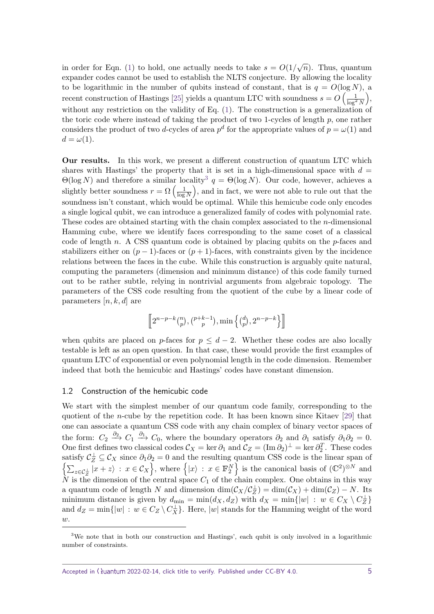in order for Eqn. [\(1\)](#page-3-1) to hold, one actually needs to take  $s = O(1/\sqrt{n})$ . Thus, quantum expander codes cannot be used to establish the NLTS conjecture. By allowing the locality to be logarithmic in the number of qubits instead of constant, that is  $q = O(\log N)$ , a recent construction of Hastings [\[25\]](#page-42-8) yields a quantum LTC with soundness  $s = O\left(\frac{1}{\log^2 N}\right)$  $),$ without any restriction on the validity of Eq. [\(1\)](#page-3-1). The construction is a generalization of the toric code where instead of taking the product of two 1-cycles of length *p*, one rather considers the product of two *d*-cycles of area  $p^d$  for the appropriate values of  $p = \omega(1)$  and  $d = \omega(1)$ .

**Our results.** In this work, we present a different construction of quantum LTC which shares with Hastings' the property that it is set in a high-dimensional space with  $d =$  $\Theta(\log N)$  and therefore a similar locality<sup>[3](#page-4-0)</sup>  $q = \Theta(\log N)$ . Our code, however, achieves a slightly better soundness  $r = \Omega\left(\frac{1}{\log n}\right)$  $\frac{1}{\log N}$ , and in fact, we were not able to rule out that the soundness isn't constant, which would be optimal. While this hemicube code only encodes a single logical qubit, we can introduce a generalized family of codes with polynomial rate. These codes are obtained starting with the chain complex associated to the *n*-dimensional Hamming cube, where we identify faces corresponding to the same coset of a classical code of length *n*. A CSS quantum code is obtained by placing qubits on the *p*-faces and stabilizers either on  $(p-1)$ -faces or  $(p+1)$ -faces, with constraints given by the incidence relations between the faces in the cube. While this construction is arguably quite natural, computing the parameters (dimension and minimum distance) of this code family turned out to be rather subtle, relying in nontrivial arguments from algebraic topology. The parameters of the CSS code resulting from the quotient of the cube by a linear code of parameters [*n, k, d*] are

$$
\left[\!\left[2^{n-p-k}\binom{n}{p},\binom{p+k-1}{p},\min\left\{\binom{d}{p},2^{n-p-k}\right\}\right]\!\right]
$$

when qubits are placed on *p*-faces for  $p \leq d - 2$ . Whether these codes are also locally testable is left as an open question. In that case, these would provide the first examples of quantum LTC of exponential or even polynomial length in the code dimension. Remember indeed that both the hemicubic and Hastings' codes have constant dimension.

### 1.2 Construction of the hemicubic code

We start with the simplest member of our quantum code family, corresponding to the quotient of the *n*-cube by the repetition code. It has been known since Kitaev [\[29\]](#page-42-9) that one can associate a quantum CSS code with any chain complex of binary vector spaces of the form:  $C_2 \xrightarrow{\partial_2} C_1 \xrightarrow{\partial_1} C_0$ , where the boundary operators  $\partial_2$  and  $\partial_1$  satisfy  $\partial_1 \partial_2 = 0$ . One first defines two classical codes  $\mathcal{C}_X = \ker \partial_1$  and  $\mathcal{C}_Z = (\text{Im } \partial_2)^{\perp} = \ker \partial_2^T$ . These codes satisfy  $\mathcal{C}^{\perp}_Z \subseteq \mathcal{C}_X$  since  $\partial_1 \partial_2 = 0$  and the resulting quantum CSS code is the linear span of  $\left\{ \sum_{z \in \mathcal{C}^{\perp}_Z} |x+z\rangle : x \in \mathcal{C}_X \right\}$ , where  $\left\{ |x\rangle : x \in \mathbb{F}_2^N \right\}$  is the canonical basis of  $(\mathbb{C}^2)^{\otimes N}$  and  $N$  is the dimension of the central space  $C_1$  of the chain complex. One obtains in this way a quantum code of length *N* and dimension  $\dim(\mathcal{C}_X/\mathcal{C}_Z^{\perp}) = \dim(\mathcal{C}_X) + \dim(\mathcal{C}_Z) - N$ . Its minimum distance is given by  $d_{\min} = \min(d_X, d_Z)$  with  $d_X = \min\{|w| : w \in C_X \setminus C_Z^{\perp}\}\$ and  $d_Z = \min\{|w| : w \in C_Z \setminus C_X^{\perp}\}.$  Here,  $|w|$  stands for the Hamming weight of the word *w*.

<span id="page-4-0"></span><sup>&</sup>lt;sup>3</sup>We note that in both our construction and Hastings', each qubit is only involved in a logarithmic number of constraints.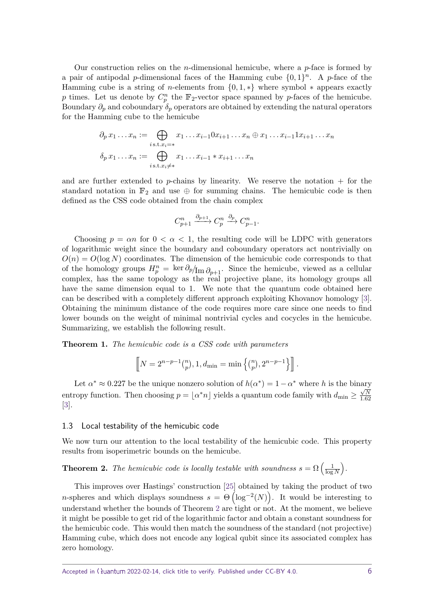Our construction relies on the *n*-dimensional hemicube, where a *p*-face is formed by a pair of antipodal *p*-dimensional faces of the Hamming cube  $\{0,1\}^n$ . A *p*-face of the Hamming cube is a string of *n*-elements from  $\{0, 1, *\}$  where symbol  $*$  appears exactly p times. Let us denote by  $C_p^n$  the  $\mathbb{F}_2$ -vector space spanned by p-faces of the hemicube. Boundary  $\partial_p$  and coboundary  $\delta_p$  operators are obtained by extending the natural operators for the Hamming cube to the hemicube

$$
\partial_p x_1 \dots x_n := \bigoplus_{i \text{ s.t. } x_i = *} x_1 \dots x_{i-1} 0 x_{i+1} \dots x_n \oplus x_1 \dots x_{i-1} 1 x_{i+1} \dots x_n
$$

$$
\delta_p x_1 \dots x_n := \bigoplus_{i \text{ s.t. } x_i \neq *} x_1 \dots x_{i-1} * x_{i+1} \dots x_n
$$

and are further extended to  $p$ -chains by linearity. We reserve the notation  $+$  for the standard notation in  $\mathbb{F}_2$  and use  $\oplus$  for summing chains. The hemicubic code is then defined as the CSS code obtained from the chain complex

$$
C_{p+1}^n \xrightarrow{\partial_{p+1}} C_p^n \xrightarrow{\partial_p} C_{p-1}^n.
$$

Choosing  $p = \alpha n$  for  $0 < \alpha < 1$ , the resulting code will be LDPC with generators of logarithmic weight since the boundary and coboundary operators act nontrivially on  $O(n) = O(\log N)$  coordinates. The dimension of the hemicubic code corresponds to that of the homology groups  $H_p^n = \ker \partial_p / \text{Im} \partial_{p+1}$ . Since the hemicube, viewed as a cellular complex, has the same topology as the real projective plane, its homology groups all have the same dimension equal to 1. We note that the quantum code obtained here can be described with a completely different approach exploiting Khovanov homology [\[3\]](#page-40-5). Obtaining the minimum distance of the code requires more care since one needs to find lower bounds on the weight of minimal nontrivial cycles and cocycles in the hemicube. Summarizing, we establish the following result.

**Theorem 1.** *The hemicubic code is a CSS code with parameters*

$$
\[N = 2^{n-p-1} {n \choose p}, 1, d_{\min} = \min\left\{{n \choose p}, 2^{n-p-1}\right\} \].
$$

Let  $\alpha^* \approx 0.227$  be the unique nonzero solution of  $h(\alpha^*) = 1 - \alpha^*$  where *h* is the binary entropy function. Then choosing  $p = [a^*n]$  yields a quantum code family with  $d_{\min} \ge \frac{\sqrt{N}}{1.67}$ 1*.*62 [\[3\]](#page-40-5).

### 1.3 Local testability of the hemicubic code

We now turn our attention to the local testability of the hemicubic code. This property results from isoperimetric bounds on the hemicube.

<span id="page-5-0"></span>**Theorem 2.** *The hemicubic code is locally testable with soundness*  $s = \Omega\left(\frac{1}{\log n}\right)$  $rac{1}{\log N}$ .

This improves over Hastings' construction [\[25\]](#page-42-8) obtained by taking the product of two *n*-spheres and which displays soundness  $s = \Theta\left(\log^{-2}(N)\right)$ . It would be interesting to understand whether the bounds of Theorem [2](#page-5-0) are tight or not. At the moment, we believe it might be possible to get rid of the logarithmic factor and obtain a constant soundness for the hemicubic code. This would then match the soundness of the standard (not projective) Hamming cube, which does not encode any logical qubit since its associated complex has zero homology.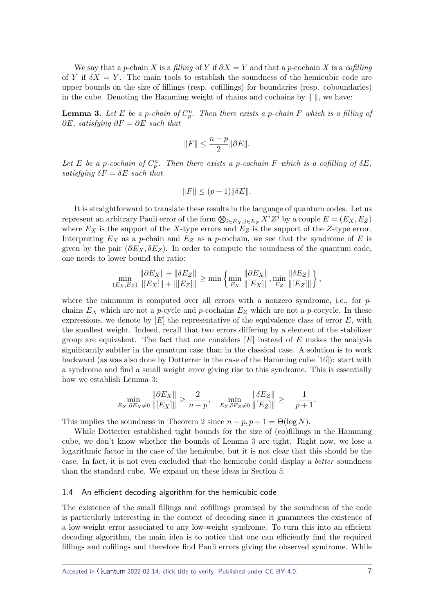We say that a *p*-chain *X* is a filling of *Y* if  $\partial X = Y$  and that a *p*-cochain *X* is a cofilling of *Y* if  $\delta X = Y$ . The main tools to establish the soundness of the hemicubic code are upper bounds on the size of fillings (resp. cofillings) for boundaries (resp. coboundaries) in the cube. Denoting the Hamming weight of chains and cochains by  $\| \cdot \|$ , we have:

<span id="page-6-0"></span>**Lemma 3.** Let E be a p-chain of  $C_p^n$ . Then there exists a p-chain F which is a filling of *∂E, satisfying ∂F* = *∂E such that*

$$
||F||\leq \frac{n-p}{2}||\partial E||.
$$

Let *E* be a *p*-cochain of  $C_p^n$ . Then there exists a *p*-cochain *F* which is a cofilling of  $\delta E$ , *satisfying*  $\delta F = \delta E$  *such that* 

$$
||F|| \le (p+1)||\delta E||.
$$

It is straightforward to translate these results in the language of quantum codes. Let us represent an arbitrary Pauli error of the form  $\bigotimes_{i \in E_X, j \in E_Z} X^i Z^j$  by a couple  $E = (E_X, E_Z)$ where  $E_X$  is the support of the *X*-type errors and  $E_Z$  is the support of the *Z*-type error. Interpreting *E<sup>X</sup>* as a *p*-chain and *E<sup>Z</sup>* as a *p*-cochain, we see that the syndrome of *E* is given by the pair  $(\partial E_X, \delta E_Z)$ . In order to compute the soundness of the quantum code, one needs to lower bound the ratio:

$$
\min_{(E_X, E_Z)} \frac{\|\partial E_X\| + \|\delta E_Z\|}{\|[E_X]\| + \|[E_Z]\|} \ge \min \left\{ \min_{E_X} \frac{\|\partial E_X\|}{\|[E_X]\|}, \min_{E_Z} \frac{\|\delta E_Z\|}{\|[E_Z]\|} \right\},
$$

where the minimum is computed over all errors with a nonzero syndrome, i.e., for *p*chains  $E_X$  which are not a *p*-cycle and *p*-cochains  $E_Z$  which are not a *p*-cocycle. In these expressions, we denote by [*E*] the representative of the equivalence class of error *E*, with the smallest weight. Indeed, recall that two errors differing by a element of the stabilizer group are equivalent. The fact that one considers [*E*] instead of *E* makes the analysis significantly subtler in the quantum case than in the classical case. A solution is to work backward (as was also done by Dotterrer in the case of the Hamming cube [\[16\]](#page-41-10)): start with a syndrome and find a small weight error giving rise to this syndrome. This is essentially how we establish Lemma [3:](#page-6-0)

$$
\min_{E_X, \partial E_X \neq 0} \frac{\|\partial E_X\|}{\|[E_X]\|} \ge \frac{2}{n-p}, \quad \min_{E_Z, \delta E_Z \neq 0} \frac{\|\delta E_Z\|}{\|[E_Z]\|} \ge \frac{1}{p+1}.
$$

This implies the soundness in Theorem [2](#page-5-0) since  $n - p$ ,  $p + 1 = \Theta(\log N)$ .

While Dotterrer established tight bounds for the size of (co)fillings in the Hamming cube, we don't know whether the bounds of Lemma [3](#page-6-0) are tight. Right now, we lose a logarithmic factor in the case of the hemicube, but it is not clear that this should be the case. In fact, it is not even excluded that the hemicube could display a better soundness than the standard cube. We expand on these ideas in Section [5.](#page-31-0)

### 1.4 An efficient decoding algorithm for the hemicubic code

The existence of the small fillings and cofillings promised by the soundness of the code is particularly interesting in the context of decoding since it guarantees the existence of a low-weight error associated to any low-weight syndrome. To turn this into an efficient decoding algorithm, the main idea is to notice that one can efficiently find the required fillings and cofilings and therefore find Pauli errors giving the observed syndrome. While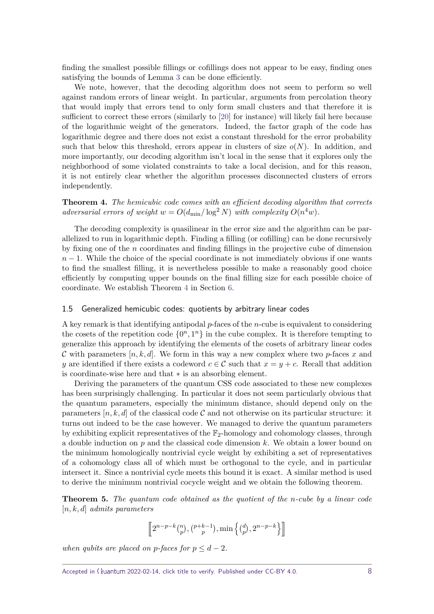finding the smallest possible fillings or cofillings does not appear to be easy, finding ones satisfying the bounds of Lemma [3](#page-6-0) can be done efficiently.

We note, however, that the decoding algorithm does not seem to perform so well against random errors of linear weight. In particular, arguments from percolation theory that would imply that errors tend to only form small clusters and that therefore it is sufficient to correct these errors (similarly to [\[20\]](#page-41-11) for instance) will likely fail here because of the logarithmic weight of the generators. Indeed, the factor graph of the code has logarithmic degree and there does not exist a constant threshold for the error probability such that below this threshold, errors appear in clusters of size  $o(N)$ . In addition, and more importantly, our decoding algorithm isn't local in the sense that it explores only the neighborhood of some violated constraints to take a local decision, and for this reason, it is not entirely clear whether the algorithm processes disconnected clusters of errors independently.

<span id="page-7-0"></span>**Theorem 4.** *The hemicubic code comes with an efficient decoding algorithm that corrects adversarial errors of weight*  $w = O(d_{\min}/\log^2 N)$  *with complexity*  $O(n^4w)$ *.* 

The decoding complexity is quasilinear in the error size and the algorithm can be parallelized to run in logarithmic depth. Finding a filling (or cofilling) can be done recursively by fixing one of the *n* coordinates and finding fillings in the projective cube of dimension  $n-1$ . While the choice of the special coordinate is not immediately obvious if one wants to find the smallest filling, it is nevertheless possible to make a reasonably good choice efficiently by computing upper bounds on the final filling size for each possible choice of coordinate. We establish Theorem [4](#page-7-0) in Section [6.](#page-38-0)

### 1.5 Generalized hemicubic codes: quotients by arbitrary linear codes

A key remark is that identifying antipodal *p*-faces of the *n*-cube is equivalent to considering the cosets of the repetition code  $\{0^n, 1^n\}$  in the cube complex. It is therefore tempting to generalize this approach by identifying the elements of the cosets of arbitrary linear codes C with parameters  $[n, k, d]$ . We form in this way a new complex where two *p*-faces x and *y* are identified if there exists a codeword  $c \in \mathcal{C}$  such that  $x = y + c$ . Recall that addition is coordinate-wise here and that ∗ is an absorbing element.

Deriving the parameters of the quantum CSS code associated to these new complexes has been surprisingly challenging. In particular it does not seem particularly obvious that the quantum parameters, especially the minimum distance, should depend only on the parameters  $[n, k, d]$  of the classical code C and not otherwise on its particular structure: it turns out indeed to be the case however. We managed to derive the quantum parameters by exhibiting explicit representatives of the  $\mathbb{F}_2$ -homology and cohomology classes, through a double induction on *p* and the classical code dimension *k*. We obtain a lower bound on the minimum homologically nontrivial cycle weight by exhibiting a set of representatives of a cohomology class all of which must be orthogonal to the cycle, and in particular intersect it. Since a nontrivial cycle meets this bound it is exact. A similar method is used to derive the minimum nontrivial cocycle weight and we obtain the following theorem.

**Theorem 5.** *The quantum code obtained as the quotient of the n-cube by a linear code* [*n, k, d*] *admits parameters*

$$
\left[\!\left[2^{n-p-k}\binom{n}{p},\binom{p+k-1}{p},\min\left\{\binom{d}{p},2^{n-p-k}\right\}\right]\!\right]
$$

*when qubits are placed on p-faces for*  $p \leq d - 2$ *.*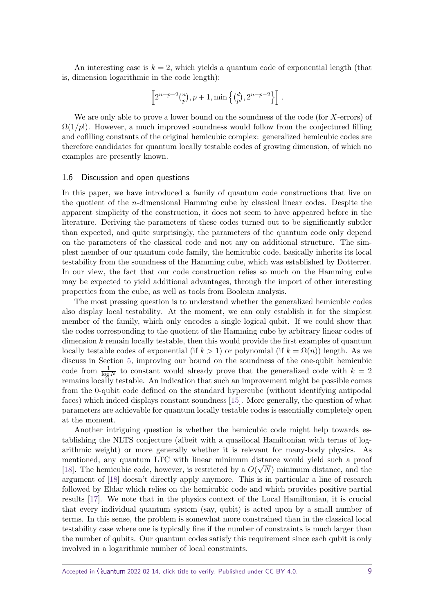An interesting case is  $k = 2$ , which yields a quantum code of exponential length (that is, dimension logarithmic in the code length):

$$
\left[\!\left[2^{n-p-2}\binom{n}{p},p+1,\min\left\{\binom{d}{p},2^{n-p-2}\right\}\right]\!\right].
$$

We are only able to prove a lower bound on the soundness of the code (for *X*-errors) of  $\Omega(1/p!)$ . However, a much improved soundness would follow from the conjectured filling and cofilling constants of the original hemicubic complex: generalized hemicubic codes are therefore candidates for quantum locally testable codes of growing dimension, of which no examples are presently known.

#### 1.6 Discussion and open questions

In this paper, we have introduced a family of quantum code constructions that live on the quotient of the *n*-dimensional Hamming cube by classical linear codes. Despite the apparent simplicity of the construction, it does not seem to have appeared before in the literature. Deriving the parameters of these codes turned out to be significantly subtler than expected, and quite surprisingly, the parameters of the quantum code only depend on the parameters of the classical code and not any on additional structure. The simplest member of our quantum code family, the hemicubic code, basically inherits its local testability from the soundness of the Hamming cube, which was established by Dotterrer. In our view, the fact that our code construction relies so much on the Hamming cube may be expected to yield additional advantages, through the import of other interesting properties from the cube, as well as tools from Boolean analysis.

The most pressing question is to understand whether the generalized hemicubic codes also display local testability. At the moment, we can only establish it for the simplest member of the family, which only encodes a single logical qubit. If we could show that the codes corresponding to the quotient of the Hamming cube by arbitrary linear codes of dimension *k* remain locally testable, then this would provide the first examples of quantum locally testable codes of exponential (if  $k > 1$ ) or polynomial (if  $k = \Omega(n)$ ) length. As we discuss in Section [5,](#page-31-0) improving our bound on the soundness of the one-qubit hemicubic code from  $\frac{1}{\log N}$  to constant would already prove that the generalized code with  $k = 2$ remains locally testable. An indication that such an improvement might be possible comes from the 0-qubit code defined on the standard hypercube (without identifying antipodal faces) which indeed displays constant soundness [\[15\]](#page-41-12). More generally, the question of what parameters are achievable for quantum locally testable codes is essentially completely open at the moment.

Another intriguing question is whether the hemicubic code might help towards establishing the NLTS conjecture (albeit with a quasilocal Hamiltonian with terms of logarithmic weight) or more generally whether it is relevant for many-body physics. As mentioned, any quantum LTC with linear minimum distance would yield such a proof [\[18\]](#page-41-3). The hemicubic code, however, is restricted by a  $O(\sqrt{N})$  minimum distance, and the argument of [\[18\]](#page-41-3) doesn't directly apply anymore. This is in particular a line of research followed by Eldar which relies on the hemicubic code and which provides positive partial results [\[17\]](#page-41-13). We note that in the physics context of the Local Hamiltonian, it is crucial that every individual quantum system (say, qubit) is acted upon by a small number of terms. In this sense, the problem is somewhat more constrained than in the classical local testability case where one is typically fine if the number of constraints is much larger than the number of qubits. Our quantum codes satisfy this requirement since each qubit is only involved in a logarithmic number of local constraints.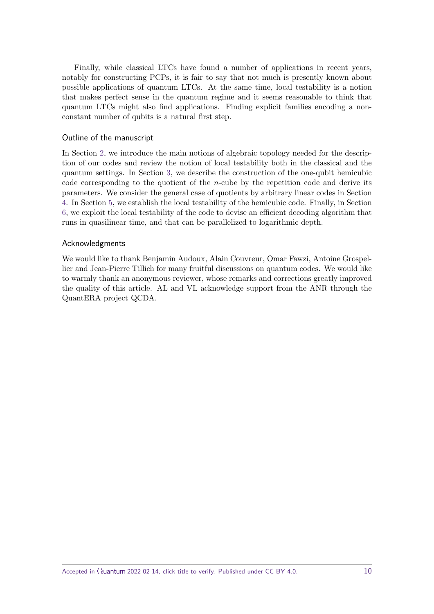Finally, while classical LTCs have found a number of applications in recent years, notably for constructing PCPs, it is fair to say that not much is presently known about possible applications of quantum LTCs. At the same time, local testability is a notion that makes perfect sense in the quantum regime and it seems reasonable to think that quantum LTCs might also find applications. Finding explicit families encoding a nonconstant number of qubits is a natural first step.

# Outline of the manuscript

In Section [2,](#page-10-0) we introduce the main notions of algebraic topology needed for the description of our codes and review the notion of local testability both in the classical and the quantum settings. In Section [3,](#page-15-0) we describe the construction of the one-qubit hemicubic code corresponding to the quotient of the *n*-cube by the repetition code and derive its parameters. We consider the general case of quotients by arbitrary linear codes in Section [4.](#page-21-0) In Section [5,](#page-31-0) we establish the local testability of the hemicubic code. Finally, in Section [6,](#page-38-0) we exploit the local testability of the code to devise an efficient decoding algorithm that runs in quasilinear time, and that can be parallelized to logarithmic depth.

# Acknowledgments

We would like to thank Benjamin Audoux, Alain Couvreur, Omar Fawzi, Antoine Grospellier and Jean-Pierre Tillich for many fruitful discussions on quantum codes. We would like to warmly thank an anonymous reviewer, whose remarks and corrections greatly improved the quality of this article. AL and VL acknowledge support from the ANR through the QuantERA project QCDA.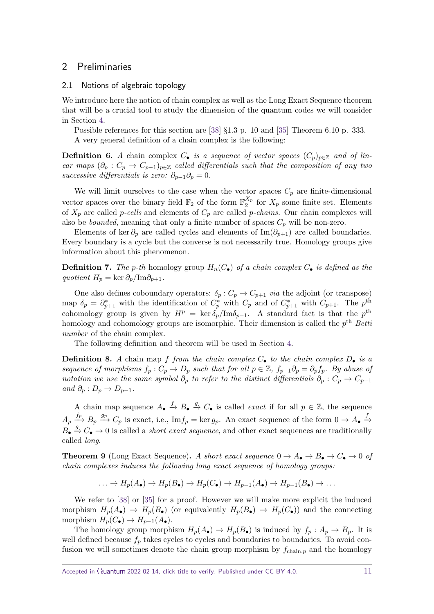# <span id="page-10-0"></span>2 Preliminaries

### <span id="page-10-1"></span>2.1 Notions of algebraic topology

We introduce here the notion of chain complex as well as the Long Exact Sequence theorem that will be a crucial tool to study the dimension of the quantum codes we will consider in Section [4.](#page-21-0)

Possible references for this section are [\[38\]](#page-42-10) §1.3 p. 10 and [\[35\]](#page-42-11) Theorem 6.10 p. 333. A very general definition of a chain complex is the following:

**Definition 6.** *A* chain complex  $C_{\bullet}$  *is a sequence of vector spaces*  $(C_p)_{p \in \mathbb{Z}}$  *and of linear maps*  $(\partial_p : C_p \to C_{p-1})_{p \in \mathbb{Z}}$  *called differentials such that the composition of any two successive differentials is zero:*  $\partial_{p-1}\partial_p = 0$ .

We will limit ourselves to the case when the vector spaces  $C_p$  are finite-dimensional vector spaces over the binary field  $\mathbb{F}_2$  of the form  $\mathbb{F}_2^{X_p}$  $\frac{\Lambda_p}{2}$  for  $X_p$  some finite set. Elements of  $X_p$  are called *p*-cells and elements of  $C_p$  are called *p*-chains. Our chain complexes will also be *bounded*, meaning that only a finite number of spaces  $C_p$  will be non-zero.

Elements of ker  $\partial_p$  are called cycles and elements of Im( $\partial_{p+1}$ ) are called boundaries. Every boundary is a cycle but the converse is not necessarily true. Homology groups give information about this phenomenon.

**Definition 7.** The *p*-th homology group  $H_n(C_{\bullet})$  of a chain complex  $C_{\bullet}$  is defined as the  $quotient H_p = \ker \partial_p / \text{Im} \partial_{p+1}$ .

One also defines coboundary operators:  $\delta_p$ :  $C_p \rightarrow C_{p+1}$  via the adjoint (or transpose) map  $\delta_p = \partial_{p+1}^*$  with the identification of  $C_p^*$  with  $C_p$  and of  $C_{p+1}^*$  with  $C_{p+1}$ . The  $p^{\text{th}}$ cohomology group is given by  $H^p = \text{ker } \delta_p / \text{Im } \delta_{p-1}$ . A standard fact is that the  $p^{\text{th}}$ homology and cohomology groups are isomorphic. Their dimension is called the  $p<sup>th</sup>$  Betta number of the chain complex.

The following definition and theorem will be used in Section [4.](#page-21-0)

**Definition 8.** *A* chain map *f from the chain complex C*• *to the chain complex D*• *is a sequence of morphisms*  $f_p: C_p \to D_p$  *such that for all*  $p \in \mathbb{Z}$ *,*  $f_{p-1}\partial_p = \partial_p f_p$ *. By abuse of notation we use the same symbol*  $\partial_p$  *to refer to the distinct differentials*  $\partial_p$  :  $C_p \to C_{p-1}$  $and \ \partial_p : D_p \to D_{p-1}.$ 

A chain map sequence  $A_{\bullet} \xrightarrow{f} B_{\bullet} \xrightarrow{g} C_{\bullet}$  is called *exact* if for all  $p \in \mathbb{Z}$ , the sequence  $A_p \stackrel{f_p}{\longrightarrow} B_p \stackrel{g_p}{\longrightarrow} C_p$  is exact, i.e., Im $f_p = \ker g_p$ . An exact sequence of the form  $0 \to A_{\bullet}$ .  $B_{\bullet} \stackrel{g}{\rightarrow} C_{\bullet} \rightarrow 0$  is called a *short exact sequence*, and other exact sequences are traditionally called long.

<span id="page-10-2"></span>**Theorem 9** (Long Exact Sequence). A short exact sequence  $0 \to A_{\bullet} \to B_{\bullet} \to C_{\bullet} \to 0$  of *chain complexes induces the following long exact sequence of homology groups:*

$$
\ldots \to H_p(A_{\bullet}) \to H_p(B_{\bullet}) \to H_p(C_{\bullet}) \to H_{p-1}(A_{\bullet}) \to H_{p-1}(B_{\bullet}) \to \ldots
$$

We refer to [\[38\]](#page-42-10) or [\[35\]](#page-42-11) for a proof. However we will make more explicit the induced morphism  $H_p(A_{\bullet}) \to H_p(B_{\bullet})$  (or equivalently  $H_p(B_{\bullet}) \to H_p(C_{\bullet})$ ) and the connecting morphism  $H_p(C_{\bullet}) \to H_{p-1}(A_{\bullet}).$ 

The homology group morphism  $H_p(A_{\bullet}) \to H_p(B_{\bullet})$  is induced by  $f_p : A_p \to B_p$ . It is well defined because  $f_p$  takes cycles to cycles and boundaries to boundaries. To avoid confusion we will sometimes denote the chain group morphism by *f*chain*,p* and the homology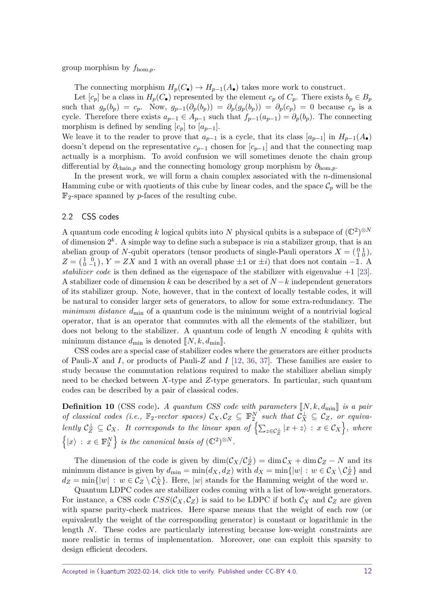group morphism by *f*hom*,p*.

The connecting morphism  $H_p(C_{\bullet}) \to H_{p-1}(A_{\bullet})$  takes more work to construct.

Let  $[c_p]$  be a class in  $H_p(C_{\bullet})$  represented by the element  $c_p$  of  $C_p$ . There exists  $b_p \in B_p$ such that  $g_p(b_p) = c_p$ . Now,  $g_{p-1}(\partial_p(b_p)) = \partial_p(g_p(b_p)) = \partial_p(c_p) = 0$  because  $c_p$  is a cycle. Therefore there exists  $a_{p-1} \in A_{p-1}$  such that  $f_{p-1}(a_{p-1}) = \partial_p(b_p)$ . The connecting morphism is defined by sending  $[c_p]$  to  $[a_{p-1}]$ .

We leave it to the reader to prove that  $a_{p-1}$  is a cycle, that its class  $[a_{p-1}]$  in  $H_{p-1}(A_{\bullet})$ doesn't depend on the representative  $c_{p-1}$  chosen for  $[c_{p-1}]$  and that the connecting map actually is a morphism. To avoid confusion we will sometimes denote the chain group differential by *∂*chain*,p* and the connecting homology group morphism by *∂*hom*,p*.

In the present work, we will form a chain complex associated with the *n*-dimensional Hamming cube or with quotients of this cube by linear codes, and the space  $\mathcal{C}_p$  will be the F2-space spanned by *p*-faces of the resulting cube.

### 2.2 CSS codes

A quantum code encoding k logical qubits into N physical qubits is a subspace of  $(\mathbb{C}^2)^{\otimes N}$ of dimension 2 *k* . A simple way to define such a subspace is via a stabilizer group, that is an abelian group of *N*-qubit operators (tensor products of single-Pauli operators  $X = \begin{pmatrix} 0 & 1 \\ 1 & 0 \end{pmatrix}$ ,  $Z = \begin{pmatrix} 1 & 0 \\ 0 & -1 \end{pmatrix}$ ,  $Y = ZX$  and 1 with an overall phase  $\pm 1$  or  $\pm i$ ) that does not contain  $-\mathbb{1}$ . A stabilizer code is then defined as the eigenspace of the stabilizer with eigenvalue  $+1$  [\[23\]](#page-41-14). A stabilizer code of dimension *k* can be described by a set of *N* −*k* independent generators of its stabilizer group. Note, however, that in the context of locally testable codes, it will be natural to consider larger sets of generators, to allow for some extra-redundancy. The minimum distance  $d_{\min}$  of a quantum code is the minimum weight of a nontrivial logical operator, that is an operator that commutes with all the elements of the stabilizer, but does not belong to the stabilizer. A quantum code of length *N* encoding *k* qubits with minimum distance  $d_{\min}$  is denoted  $\llbracket N, k, d_{\min} \rrbracket$ .

CSS codes are a special case of stabilizer codes where the generators are either products of Pauli-*X* and *I*, or products of Pauli-*Z* and *I* [\[12,](#page-41-15) [36,](#page-42-12) [37\]](#page-42-13). These families are easier to study because the commutation relations required to make the stabilizer abelian simply need to be checked between *X*-type and *Z*-type generators. In particular, such quantum codes can be described by a pair of classical codes.

**Definition 10** (CSS code). *A quantum CSS code with parameters*  $\llbracket N, k, d_{\min} \rrbracket$  *is a pair of classical codes (i.e.,*  $\mathbb{F}_2$ -vector spaces)  $\mathcal{C}_X, \mathcal{C}_Z \subseteq \mathbb{F}_2^N$  such that  $\mathcal{C}_X^{\perp} \subseteq \mathcal{C}_Z$ , or equiva- $\mathcal{L}$  *L*  $\subset \mathcal{L}_X$  *Z*  $\subset \mathcal{L}_X$  *L t* corresponds to the linear span of  $\left\{ \sum_{z \in \mathcal{L}_Z^{\perp}} |x+z\rangle : x \in \mathcal{C}_X \right\}$ , where  $\left\{ |x\rangle : x \in \mathbb{F}_2^N \right\}$  *is the canonical basis of*  $(\mathbb{C}^2)^{\otimes N}$ *.* 

The dimension of the code is given by  $\dim(\mathcal{C}_X/\mathcal{C}_Z^{\perp}) = \dim \mathcal{C}_X + \dim \mathcal{C}_Z - N$  and its minimum distance is given by  $d_{\min} = \min(d_X, d_Z)$  with  $d_X = \min\{|w| : w \in C_X \setminus C_Z^{\perp}\}\$  and  $d_Z = \min\{|w| : w \in C_Z \setminus C_X^{\perp}\}.$  Here,  $|w|$  stands for the Hamming weight of the word *w*.

Quantum LDPC codes are stabilizer codes coming with a list of low-weight generators. For instance, a CSS code  $CSS(C_X, C_Z)$  is said to be LDPC if both  $C_X$  and  $C_Z$  are given with sparse parity-check matrices. Here sparse means that the weight of each row (or equivalently the weight of the corresponding generator) is constant or logarithmic in the length *N*. These codes are particularly interesting because low-weight constraints are more realistic in terms of implementation. Moreover, one can exploit this sparsity to design efficient decoders.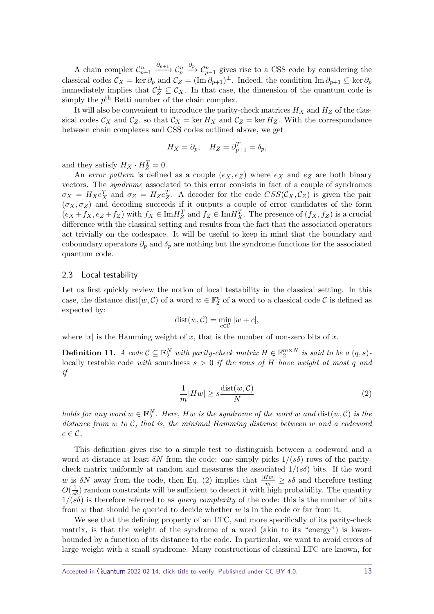A chain complex  $C_{p+1}^n \xrightarrow{\partial_{p+1}} C_p^n \xrightarrow{\partial_p} C_{p-1}^n$  gives rise to a CSS code by considering the classical codes  $\mathcal{C}_X = \ker \partial_p$  and  $\mathcal{C}_Z = (\text{Im } \partial_{p+1})^\perp$ . Indeed, the condition  $\text{Im } \partial_{p+1} \subseteq \ker \partial_p$ immediately implies that  $\mathcal{C}_Z^{\perp} \subseteq \mathcal{C}_X$ . In that case, the dimension of the quantum code is simply the  $p^{\text{th}}$  Betti number of the chain complex.

It will also be convenient to introduce the parity-check matrices  $H_X$  and  $H_Z$  of the classical codes  $\mathcal{C}_X$  and  $\mathcal{C}_Z$ , so that  $\mathcal{C}_X = \ker H_X$  and  $\mathcal{C}_Z = \ker H_Z$ . With the correspondance between chain complexes and CSS codes outlined above, we get

$$
H_X = \partial_p, \quad H_Z = \partial_{p+1}^T = \delta_p,
$$

and they satisfy  $H_X \cdot H_Z^T = 0$ .

An error pattern is defined as a couple  $(e_X, e_Z)$  where  $e_X$  and  $e_Z$  are both binary vectors. The syndrome associated to this error consists in fact of a couple of syndromes  $\sigma_X = H_X e_X^T$  and  $\sigma_Z = H_Z e_Z^T$ . A decoder for the code  $CSS(C_X, C_Z)$  is given the pair  $(\sigma_X, \sigma_Z)$  and decoding succeeds if it outputs a couple of error candidates of the form  $(e_X + f_X, e_Z + f_Z)$  with  $f_X \in \text{Im} H_Z^T$  and  $f_Z \in \text{Im} H_X^T$ . The presence of  $(f_X, f_Z)$  is a crucial difference with the classical setting and results from the fact that the associated operators act trivially on the codespace. It will be useful to keep in mind that the boundary and coboundary operators  $\partial_p$  and  $\delta_p$  are nothing but the syndrome functions for the associated quantum code.

### 2.3 Local testability

Let us first quickly review the notion of local testability in the classical setting. In this case, the distance  $dist(w, C)$  of a word  $w \in \mathbb{F}_2^n$  of a word to a classical code C is defined as expected by:

$$
dist(w, C) = \min_{c \in C} |w + c|,
$$

where  $|x|$  is the Hamming weight of x, that is the number of non-zero bits of x.

**Definition 11.** *A code*  $C \subseteq \mathbb{F}_2^N$  *with parity-check matrix*  $H \in \mathbb{F}_2^{m \times N}$  *is said to be a*  $(q, s)$ locally testable code *with* soundness  $s > 0$  *if the rows of H have weight at most q and if*

<span id="page-12-0"></span>
$$
\frac{1}{m}|Hw| \ge s \frac{\text{dist}(w, \mathcal{C})}{N} \tag{2}
$$

*holds for any word*  $w \in \mathbb{F}_2^N$ . Here, Hw is the syndrome of the word  $w$  and  $dist(w, C)$  is the *distance from w to* C*, that is, the minimal Hamming distance between w and a codeword*  $c \in \mathcal{C}$ .

This definition gives rise to a simple test to distinguish between a codeword and a word at distance at least  $\delta N$  from the code: one simply picks  $1/(s\delta)$  rows of the paritycheck matrix uniformly at random and measures the associated  $1/(s\delta)$  bits. If the word *w* is  $\delta N$  away from the code, then Eq. [\(2\)](#page-12-0) implies that  $\frac{|Hw|}{m} \geq s\delta$  and therefore testing  $O(\frac{1}{s\delta})$  random constraints will be sufficient to detect it with high probability. The quantity  $1/(s\delta)$  is therefore referred to as *query complexity* of the code: this is the number of bits from *w* that should be queried to decide whether *w* is in the code or far from it.

We see that the defining property of an LTC, and more specifically of its parity-check matrix, is that the weight of the syndrome of a word (akin to its "energy") is lowerbounded by a function of its distance to the code. In particular, we want to avoid errors of large weight with a small syndrome. Many constructions of classical LTC are known, for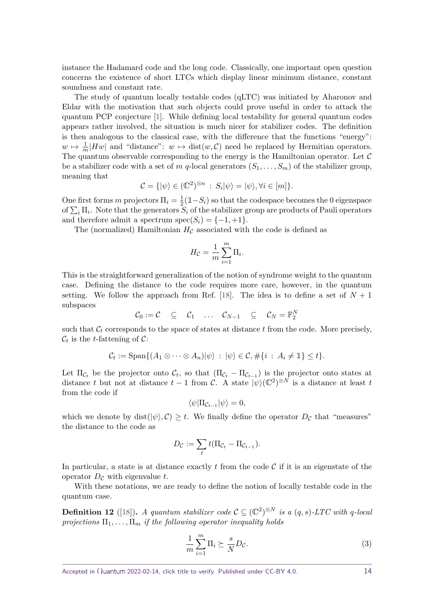instance the Hadamard code and the long code. Classically, one important open question concerns the existence of short LTCs which display linear minimum distance, constant soundness and constant rate.

The study of quantum locally testable codes (qLTC) was initiated by Aharonov and Eldar with the motivation that such objects could prove useful in order to attack the quantum PCP conjecture [\[1\]](#page-40-2). While defining local testability for general quantum codes appears rather involved, the situation is much nicer for stabilizer codes. The definition is then analogous to the classical case, with the difference that the functions "energy":  $w \mapsto \frac{1}{m}|Hw|$  and "distance":  $w \mapsto \text{dist}(w, C)$  need be replaced by Hermitian operators. The quantum observable corresponding to the energy is the Hamiltonian operator. Let  $\mathcal C$ be a stabilizer code with a set of *m q*-local generators  $(S_1, \ldots, S_m)$  of the stabilizer group, meaning that

$$
\mathcal{C} = \{ |\psi\rangle \in (\mathbb{C}^2)^{\otimes n} : S_i |\psi\rangle = |\psi\rangle, \forall i \in [m] \}.
$$

One first forms *m* projectors  $\Pi_i = \frac{1}{2}$  $\frac{1}{2}(\mathbb{1}-S_i)$  so that the codespace becomes the 0 eigenspace of  $\sum_i \Pi_i$ . Note that the generators  $S_i$  of the stabilizer group are products of Pauli operators and therefore admit a spectrum spec $(S_i) = \{-1, +1\}.$ 

The (normalized) Hamiltonian  $H_{\mathcal{C}}$  associated with the code is defined as

$$
H_{\mathcal{C}} = \frac{1}{m} \sum_{i=1}^{m} \Pi_i.
$$

This is the straightforward generalization of the notion of syndrome weight to the quantum case. Defining the distance to the code requires more care, however, in the quantum setting. We follow the approach from Ref. [\[18\]](#page-41-3). The idea is to define a set of  $N+1$ subspaces

$$
\mathcal{C}_0 := \mathcal{C} \quad \subseteq \quad \mathcal{C}_1 \quad \ldots \quad \mathcal{C}_{N-1} \quad \subseteq \quad \mathcal{C}_N = \mathbb{F}_2^N
$$

such that  $C_t$  corresponds to the space of states at distance  $t$  from the code. More precisely,  $\mathcal{C}_t$  is the *t*-fattening of  $\mathcal{C}$ :

$$
\mathcal{C}_t := \text{Span}\{(A_1 \otimes \cdots \otimes A_n)|\psi\rangle \; : \; |\psi\rangle \in \mathcal{C}, \#\{i \; : \; A_i \neq \mathbb{1}\} \leq t\}.
$$

Let  $\Pi_{\mathcal{C}_t}$  be the projector onto  $\mathcal{C}_t$ , so that  $(\Pi_{\mathcal{C}_t} - \Pi_{\mathcal{C}_{t-1}})$  is the projector onto states at distance *t* but not at distance  $t-1$  from C. A state  $|\psi\rangle(\mathbb{C}^2)^{\otimes N}$  is a distance at least *t* from the code if

$$
\langle \psi | \Pi_{\mathcal{C}_{t-1}} | \psi \rangle = 0,
$$

which we denote by  $dist(|\psi\rangle, \mathcal{C}) \geq t$ . We finally define the operator  $D_{\mathcal{C}}$  that "measures" the distance to the code as

$$
D_{\mathcal{C}} := \sum_t t(\Pi_{\mathcal{C}_t} - \Pi_{\mathcal{C}_{t-1}}).
$$

In particular, a state is at distance exactly  $t$  from the code  $\mathcal C$  if it is an eigenstate of the operator  $D<sub>C</sub>$  with eigenvalue t.

With these notations, we are ready to define the notion of locally testable code in the quantum case.

**Definition 12** ([\[18\]](#page-41-3)). A quantum stabilizer code  $\mathcal{C} \subseteq (\mathbb{C}^2)^{\otimes N}$  is a  $(q, s)$ -LTC with q-local *projections*  $\Pi_1, \ldots, \Pi_m$  *if the following operator inequality holds* 

<span id="page-13-0"></span>
$$
\frac{1}{m}\sum_{i=1}^{m}\Pi_i \succeq \frac{s}{N}D_{\mathcal{C}}.\tag{3}
$$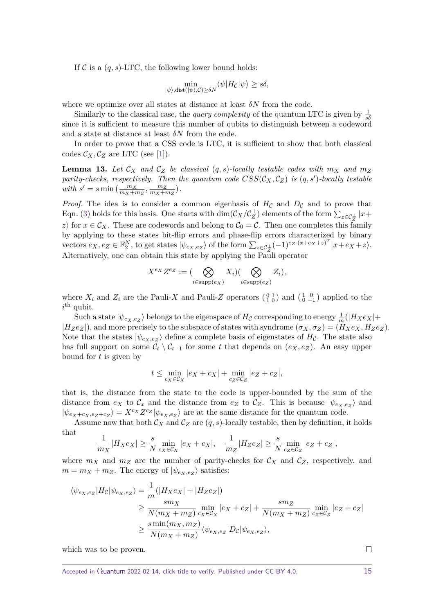If  $C$  is a  $(q, s)$ -LTC, the following lower bound holds:

$$
\min_{|\psi\rangle, \text{dist}(|\psi\rangle, \mathcal{C}) \ge \delta N} \langle \psi | H_{\mathcal{C}} | \psi \rangle \ge s\delta,
$$

where we optimize over all states at distance at least  $\delta N$  from the code.

Similarly to the classical case, the *query complexity* of the quantum LTC is given by  $\frac{1}{s\delta}$ since it is sufficient to measure this number of qubits to distinguish between a codeword and a state at distance at least *δN* from the code.

In order to prove that a CSS code is LTC, it is sufficient to show that both classical codes  $\mathcal{C}_X, \mathcal{C}_Z$  are LTC (see [\[1\]](#page-40-2)).

**Lemma 13.** Let  $\mathcal{C}_X$  and  $\mathcal{C}_Z$  be classical  $(q, s)$ -locally testable codes with  $m_X$  and  $m_Z$ *parity-checks, respectively. Then the quantum code*  $CSS(\mathcal{C}_X, \mathcal{C}_Z)$  *is*  $(q, s')$ -locally testable *with*  $s' = s \min\left(\frac{m_X}{m_X + m_Z}, \frac{m_Z}{m_X + n_Z}\right)$  $\frac{m_Z}{m_X + m_Z}$ ).

*Proof.* The idea is to consider a common eigenbasis of  $H_{\mathcal{C}}$  and  $D_{\mathcal{C}}$  and to prove that Eqn. [\(3\)](#page-13-0) holds for this basis. One starts with  $\dim(\mathcal{C}_X/\mathcal{C}_Z^{\perp})$  elements of the form  $\sum_{z\in\mathcal{C}_Z^{\perp}}|x+$ *z*) for  $x \in C_X$ . These are codewords and belong to  $C_0 = C$ . Then one completes this family by applying to these states bit-flip errors and phase-flip errors characterized by binary vectors  $e_X, e_Z \in \mathbb{F}_2^N$ , to get states  $|\psi_{e_X,e_Z}\rangle$  of the form  $\sum_{z \in C_Z^{\perp}} (-1)^{e_Z \cdot (x+e_X+z)^T} |x+e_X+z\rangle$ . Alternatively, one can obtain this state by applying the Pauli operator

$$
X^{e_X}Z^{e_Z} := \big(\bigotimes_{i \in \text{supp}(e_X)} X_i\big)\big(\bigotimes_{i \in \text{supp}(e_Z)} Z_i\big),
$$

where  $X_i$  and  $Z_i$  are the Pauli-X and Pauli-Z operators  $\begin{pmatrix} 0 & 1 \\ 1 & 0 \end{pmatrix}$  and  $\begin{pmatrix} 1 & 0 \\ 0 & -1 \end{pmatrix}$  applied to the  $i$ <sup>th</sup> qubit.

 $\int$ Such a state  $|\psi_{e_X,e_Z}\rangle$  belongs to the eigenspace of  $H_{\mathcal{C}}$  corresponding to energy  $\frac{1}{m}(|H_Xe_X|+$  $|H_Ze_Z|$ , and more precisely to the subspace of states with syndrome  $(\sigma_X, \sigma_Z) = (H_Xe_X, H_Ze_Z)$ . Note that the states  $|\psi_{e_X,e_Z}\rangle$  define a complete basis of eigenstates of  $H_{\mathcal{C}}$ . The state also has full support on some  $\mathcal{C}_t \setminus \mathcal{C}_{t-1}$  for some *t* that depends on  $(e_X, e_Z)$ . An easy upper bound for *t* is given by

$$
t \leq \min_{c_X \in \mathcal{C}_X} |e_X + c_X| + \min_{c_Z \in \mathcal{C}_Z} |e_Z + c_Z|,
$$

that is, the distance from the state to the code is upper-bounded by the sum of the distance from  $e_X$  to  $\mathcal{C}_x$  and the distance from  $e_Z$  to  $\mathcal{C}_Z$ . This is because  $|\psi_{e_X,e_Z}\rangle$  and  $|\psi_{e_X+e_X,e_Z+e_Z}\rangle = X^{c_X}Z^{c_Z}|\psi_{e_X,e_Z}\rangle$  are at the same distance for the quantum code.

Assume now that both  $\mathcal{C}_X$  and  $\mathcal{C}_Z$  are  $(q, s)$ -locally testable, then by definition, it holds that

$$
\frac{1}{m_X}|H_Xe_X| \ge \frac{s}{N} \min_{c_X \in \mathcal{C}_X} |e_X + c_X|, \quad \frac{1}{m_Z}|H_Ze_Z| \ge \frac{s}{N} \min_{c_Z \in \mathcal{C}_Z} |e_Z + c_Z|,
$$

where  $m_X$  and  $m_Z$  are the number of parity-checks for  $\mathcal{C}_X$  and  $\mathcal{C}_Z$ , respectively, and  $m = m_X + m_Z$ . The energy of  $|\psi_{e_X,e_Z}\rangle$  satisfies:

$$
\langle \psi_{e_X,e_Z} | H_{\mathcal{C}} | \psi_{e_X,e_Z} \rangle = \frac{1}{m} (|H_X e_X| + |H_Z e_Z|)
$$
  
\n
$$
\geq \frac{sm_X}{N(m_X + m_Z)} \min_{c_X \in \mathcal{C}_X} |e_X + c_Z| + \frac{sm_Z}{N(m_X + m_Z)} \min_{c_Z \in \mathcal{C}_Z} |e_Z + c_Z|
$$
  
\n
$$
\geq \frac{s \min(m_X, m_Z)}{N(m_X + m_Z)} \langle \psi_{e_X,e_Z} | D_{\mathcal{C}} | \psi_{e_X,e_Z} \rangle,
$$

which was to be proven.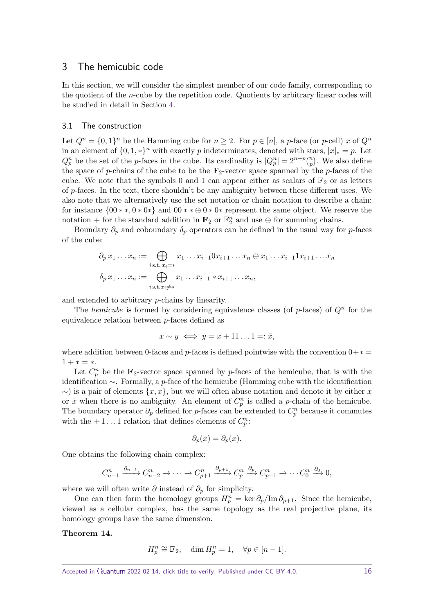# <span id="page-15-0"></span>3 The hemicubic code

In this section, we will consider the simplest member of our code family, corresponding to the quotient of the *n*-cube by the repetition code. Quotients by arbitrary linear codes will be studied in detail in Section [4.](#page-21-0)

## 3.1 The construction

Let  $Q^n = \{0,1\}^n$  be the Hamming cube for  $n \geq 2$ . For  $p \in [n]$ , a *p*-face (or *p*-cell) *x* of  $Q^n$ in an element of  $\{0, 1, *\}$ <sup>n</sup> with exactly *p* indeterminates, denoted with stars,  $|x|_* = p$ . Let  $Q_p^n$  be the set of the *p*-faces in the cube. Its cardinality is  $|Q_p^n| = 2^{n-p} {n \choose p}$ . We also define the space of *p*-chains of the cube to be the  $\mathbb{F}_2$ -vector space spanned by the *p*-faces of the cube. We note that the symbols 0 and 1 can appear either as scalars of  $\mathbb{F}_2$  or as letters of *p*-faces. In the text, there shouldn't be any ambiguity between these different uses. We also note that we alternatively use the set notation or chain notation to describe a chain: for instance  $\{00, ..., 00, \infty\}$  and  $00, ..., 00, \infty\}$  represent the same object. We reserve the notation + for the standard addition in  $\mathbb{F}_2$  or  $\mathbb{F}_2^n$  and use  $\oplus$  for summing chains.

Boundary  $\partial_p$  and coboundary  $\delta_p$  operators can be defined in the usual way for *p*-faces of the cube:

$$
\partial_p x_1 \dots x_n := \bigoplus_{i \text{ s.t. } x_i = *} x_1 \dots x_{i-1} 0 x_{i+1} \dots x_n \oplus x_1 \dots x_{i-1} 1 x_{i+1} \dots x_n
$$

$$
\delta_p x_1 \dots x_n := \bigoplus_{i \text{ s.t. } x_i \neq *} x_1 \dots x_{i-1} * x_{i+1} \dots x_n,
$$

and extended to arbitrary *p*-chains by linearity.

The *hemicube* is formed by considering equivalence classes (of  $p$ -faces) of  $Q^n$  for the equivalence relation between *p*-faces defined as

$$
x \sim y \iff y = x + 11 \dots 1 =: \bar{x},
$$

where addition between 0-faces and *p*-faces is defined pointwise with the convention  $0+\ast$  =  $1 + * = *$ .

Let  $C_p^n$  be the  $\mathbb{F}_2$ -vector space spanned by *p*-faces of the hemicube, that is with the identification ∼. Formally, a *p*-face of the hemicube (Hamming cube with the identification  $\sim$ ) is a pair of elements  $\{x, \bar{x}\}\$ , but we will often abuse notation and denote it by either x or  $\bar{x}$  when there is no ambiguity. An element of  $C_p^n$  is called a *p*-chain of the hemicube. The boundary operator  $\partial_p$  defined for *p*-faces can be extended to  $C_p^n$  because it commutes with the  $+1...1$  relation that defines elements of  $C_p^n$ :

$$
\partial_p(\bar{x}) = \overline{\partial_p(x)}.
$$

One obtains the following chain complex:

$$
C_{n-1}^n \xrightarrow{\partial_{n-1}} C_{n-2}^n \to \cdots \to C_{p+1}^n \xrightarrow{\partial_{p+1}} C_p^n \xrightarrow{\partial_p} C_{p-1}^n \to \cdots C_0^n \xrightarrow{\partial_0} 0,
$$

where we will often write  $\partial$  instead of  $\partial_p$  for simplicity.

One can then form the homology groups  $H_p^n = \ker \partial_p / \text{Im} \partial_{p+1}$ . Since the hemicube, viewed as a cellular complex, has the same topology as the real projective plane, its homology groups have the same dimension.

### <span id="page-15-1"></span>**Theorem 14.**

$$
H_p^n \cong \mathbb{F}_2, \quad \dim H_p^n = 1, \quad \forall p \in [n-1].
$$

Accepted in  $\langle \rangle$ uantum 2022-02-14, click title to verify. Published under CC-BY 4.0. 16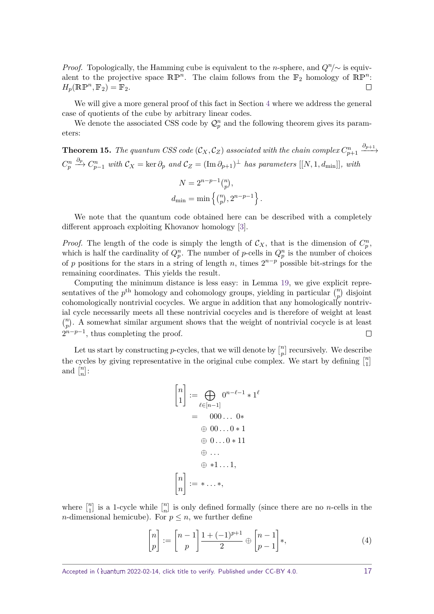*Proof.* Topologically, the Hamming cube is equivalent to the *n*-sphere, and  $Q<sup>n</sup>/\sim$  is equivalent to the projective space  $\mathbb{RP}^n$ . The claim follows from the  $\mathbb{F}_2$  homology of  $\mathbb{RP}^n$ :  $H_p(\mathbb{RP}^n, \mathbb{F}_2) = \mathbb{F}_2.$  $\Box$ 

We will give a more general proof of this fact in Section [4](#page-21-0) where we address the general case of quotients of the cube by arbitrary linear codes.

We denote the associated CSS code by  $\mathcal{Q}_p^n$  and the following theorem gives its parameters:

**Theorem 15.** The quantum CSS code 
$$
(C_X, C_Z)
$$
 associated with the chain complex  $C_{p+1}^n \xrightarrow{\partial_{p+1}} C_p^n \xrightarrow{\partial_p} C_{p-1}^n$  with  $C_X = \ker \partial_p$  and  $C_Z = (\text{Im } \partial_{p+1})^\perp$  has parameters  $[[N, 1, d_{\min}]],$  with  
\n
$$
N = 2^{n-p-1} {n \choose p},
$$
\n
$$
d_{\min} = \min \left\{ {n \choose p}, 2^{n-p-1} \right\}.
$$

We note that the quantum code obtained here can be described with a completely different approach exploiting Khovanov homology [\[3\]](#page-40-5).

*Proof.* The length of the code is simply the length of  $\mathcal{C}_X$ , that is the dimension of  $C_p^n$ , which is half the cardinality of  $Q_p^n$ . The number of *p*-cells in  $Q_p^n$  is the number of choices of *p* positions for the stars in a string of length *n*, times  $2^{n-p}$  possible bit-strings for the remaining coordinates. This yields the result.

Computing the minimum distance is less easy: in Lemma [19,](#page-18-0) we give explicit representatives of the  $p^{\text{th}}$  homology and cohomology groups, yielding in particular  $\binom{n}{p}$  disjoint cohomologically nontrivial cocycles. We argue in addition that any homologically nontrivial cycle necessarily meets all these nontrivial cocycles and is therefore of weight at least  $\binom{n}{p}$ . A somewhat similar argument shows that the weight of nontrivial cocycle is at least  $2^{n-p-1}$ , thus completing the proof.  $\Box$ 

Let us start by constructing *p*-cycles, that we will denote by  $\binom{n}{n}$  $\binom{n}{p}$  recursively. We describe the cycles by giving representative in the original cube complex. We start by defining  $\int_{1}^{n}$  $\binom{n}{1}$ and  $\binom{n}{n}$  $\left[\begin{smallmatrix} n \ n \end{smallmatrix}\right]$ :

$$
\begin{bmatrix} n \\ 1 \end{bmatrix} := \bigoplus_{\ell \in [n-1]} 0^{n-\ell-1} * 1^{\ell}
$$

$$
= 000... 0 *
$$

$$
\oplus 00... 0 * 1
$$

$$
\oplus 0... 0 * 11
$$

$$
\oplus ...
$$

$$
\oplus *1... 1,
$$

$$
\begin{bmatrix} n \\ n \end{bmatrix} := * ... *
$$

where  $\begin{bmatrix} n \\ 1 \end{bmatrix}$  $\binom{n}{1}$  is a 1-cycle while  $\binom{n}{n}$  $\binom{n}{n}$  is only defined formally (since there are no *n*-cells in the *n*-dimensional hemicube). For  $p \leq n$ , we further define

$$
\begin{bmatrix} n \\ p \end{bmatrix} := \begin{bmatrix} n-1 \\ p \end{bmatrix} \frac{1+(-1)^{p+1}}{2} \oplus \begin{bmatrix} n-1 \\ p-1 \end{bmatrix} *, \tag{4}
$$

<span id="page-16-0"></span>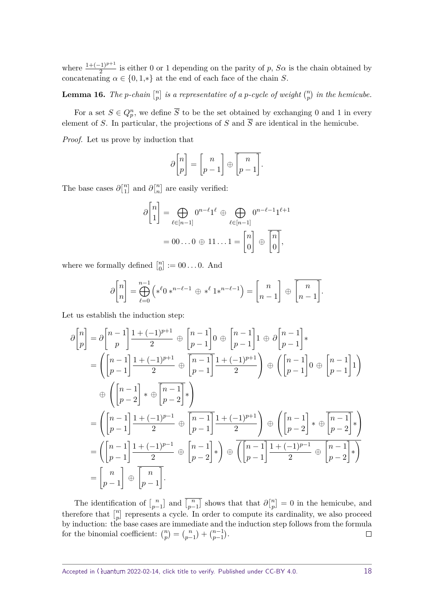where  $\frac{1+(-1)^{p+1}}{2}$  is either 0 or 1 depending on the parity of *p*,  $S\alpha$  is the chain obtained by concatenating  $\alpha \in \{0, 1, *\}$  at the end of each face of the chain *S*.

**Lemma 16.** *The p-chain*  $\binom{n}{n}$  $\binom{n}{p}$  *is a representative of a p-cycle of weight*  $\binom{n}{p}$  *in the hemicube.* 

For a set  $S \in Q_p^n$ , we define  $\overline{S}$  to be the set obtained by exchanging 0 and 1 in every element of *S*. In particular, the projections of *S* and  $\overline{S}$  are identical in the hemicube.

*Proof.* Let us prove by induction that

$$
\partial \begin{bmatrix} n \\ p \end{bmatrix} = \begin{bmatrix} n \\ p-1 \end{bmatrix} \oplus \begin{bmatrix} n \\ p-1 \end{bmatrix}.
$$

The base cases  $\partial \begin{bmatrix} n \\ 1 \end{bmatrix}$  $\binom{n}{1}$  and  $\partial \binom{n}{n}$  $\binom{n}{n}$  are easily verified:

$$
\partial \begin{bmatrix} n \\ 1 \end{bmatrix} = \bigoplus_{\ell \in [n-1]} 0^{n-\ell} 1^{\ell} \oplus \bigoplus_{\ell \in [n-1]} 0^{n-\ell-1} 1^{\ell+1}
$$

$$
= 00...0 \oplus 11...1 = \begin{bmatrix} n \\ 0 \end{bmatrix} \oplus \overline{\begin{bmatrix} n \\ 0 \end{bmatrix}},
$$

where we formally defined  $\begin{bmatrix} n \\ 0 \end{bmatrix}$  $_{0}^{n}$  := 00...0. And

$$
\partial\begin{bmatrix}n\\n\end{bmatrix}=\bigoplus_{\ell=0}^{n-1}\left(*^{\ell}0*^{n-\ell-1}\oplus *\ell 1*^{n-\ell-1}\right)=\begin{bmatrix}n\\n-1\end{bmatrix}\oplus \overline{\begin{bmatrix}n\\n-1\end{bmatrix}}.
$$

Let us establish the induction step:

$$
\partial \begin{bmatrix} n \\ p \end{bmatrix} = \partial \begin{bmatrix} n-1 \\ p \end{bmatrix} \frac{1+(-1)^{p+1}}{2} \oplus \begin{bmatrix} n-1 \\ p-1 \end{bmatrix} 0 \oplus \begin{bmatrix} n-1 \\ p-1 \end{bmatrix} 1 \oplus \partial \begin{bmatrix} n-1 \\ p-1 \end{bmatrix} * \n= \left( \begin{bmatrix} n-1 \\ p-1 \end{bmatrix} \frac{1+(-1)^{p+1}}{2} \oplus \begin{bmatrix} n-1 \\ p-1 \end{bmatrix} \frac{1+(-1)^{p+1}}{2} \right) \oplus \left( \begin{bmatrix} n-1 \\ p-1 \end{bmatrix} 0 \oplus \begin{bmatrix} n-1 \\ p-1 \end{bmatrix} 1 \right) \n= \left( \begin{bmatrix} n-1 \\ p-1 \end{bmatrix} \frac{1+(-1)^{p-1}}{2} \oplus \begin{bmatrix} n-1 \\ p-1 \end{bmatrix} \frac{1+(-1)^{p+1}}{2} \right) \oplus \left( \begin{bmatrix} n-1 \\ p-2 \end{bmatrix} * \oplus \begin{bmatrix} n-1 \\ p-2 \end{bmatrix} * \right) \n= \left( \begin{bmatrix} n-1 \\ p-1 \end{bmatrix} \frac{1+(-1)^{p-1}}{2} \oplus \begin{bmatrix} n-1 \\ p-2 \end{bmatrix} * \right) \oplus \overline{\left( \begin{bmatrix} n-1 \\ p-1 \end{bmatrix} \frac{1+(-1)^{p-1}}{2} \oplus \begin{bmatrix} n-1 \\ p-2 \end{bmatrix} * \right)} \n= \begin{bmatrix} n \\ p-1 \end{bmatrix} \oplus \overline{\left[ \begin{bmatrix} n \\ p-1 \end{bmatrix} \right]}.
$$

<span id="page-17-0"></span>The identification of  $\binom{n}{n-1}$  $\begin{bmatrix} n \\ p-1 \end{bmatrix}$  and  $\overline{\begin{bmatrix} n \\ p-1 \end{bmatrix}}$  $\overline{\binom{n}{p-1}}$  shows that that  $\partial \begin{bmatrix} n \\ p \end{bmatrix}$  $p_{p}^{n}$  = 0 in the hemicube, and therefore that  $\binom{n}{n}$  $\binom{n}{p}$  represents a cycle. In order to compute its cardinality, we also proceed by induction: the base cases are immediate and the induction step follows from the formula for the binomial coefficient:  $\binom{n}{p} = \binom{n}{p-1} + \binom{n-1}{p-1}$ .  $\Box$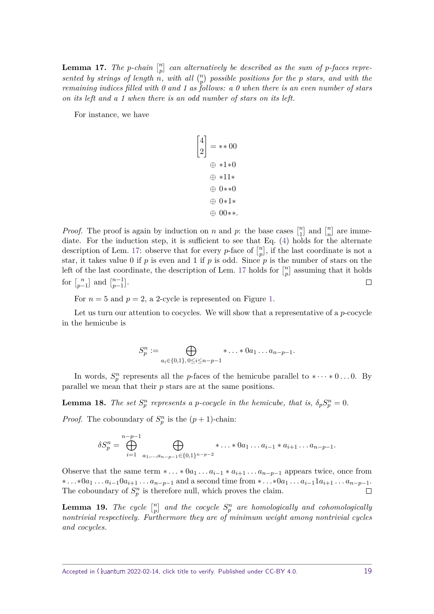**Lemma 17.** *The p-chain*  $\begin{bmatrix} n \\ n \end{bmatrix}$  $\binom{n}{p}$  can alternatively be described as the sum of *p*-faces represented by strings of length  $n$ , with all  $\binom{n}{p}$  possible positions for the p stars, and with the *remaining indices filled with 0 and 1 as follows: a 0 when there is an even number of stars on its left and a 1 when there is an odd number of stars on its left.*

For instance, we have

$$
\begin{bmatrix} 4 \\ 2 \end{bmatrix} = **00
$$

$$
\oplus **1*0
$$

$$
\oplus **11*
$$

$$
\oplus 0**0
$$

$$
\oplus 0*1*
$$

$$
\oplus 00**.
$$

*Proof.* The proof is again by induction on *n* and *p*: the base cases  $\binom{n}{1}$  $\begin{bmatrix} n \\ 1 \end{bmatrix}$  and  $\begin{bmatrix} n \\ n \end{bmatrix}$  $\binom{n}{n}$  are immediate. For the induction step, it is sufficient to see that Eq. [\(4\)](#page-16-0) holds for the alternate description of Lem. [17:](#page-17-0) observe that for every *p*-face of  $\binom{n}{n}$  $\binom{n}{p}$ , if the last coordinate is not a star, it takes value 0 if  $p$  is even and 1 if  $p$  is odd. Since  $p$  is the number of stars on the left of the last coordinate, the description of Lem. [17](#page-17-0) holds for  $\binom{n}{n}$  $\binom{n}{p}$  assuming that it holds for  $\int_{n}^{n}$  $\binom{n}{p-1}$  and  $\binom{n-1}{p-1}$  $_{p-1}^{n-1}$ ].  $\Box$ 

For  $n = 5$  and  $p = 2$ , a 2-cycle is represented on Figure [1.](#page-19-0)

Let us turn our attention to cocycles. We will show that a representative of a *p*-cocycle in the hemicube is

$$
S_p^n := \bigoplus_{a_i \in \{0,1\}, 0 \le i \le n-p-1} * \dots * 0 a_1 \dots a_{n-p-1}.
$$

In words,  $S_p^n$  represents all the *p*-faces of the hemicube parallel to \* $\cdots$  \*0...0. By parallel we mean that their *p* stars are at the same positions.

<span id="page-18-1"></span>**Lemma 18.** *The set*  $S_p^n$  *represents a p-cocycle in the hemicube, that is,*  $\delta_p S_p^n = 0$ *.* 

*Proof.* The coboundary of  $S_p^n$  is the  $(p + 1)$ -chain:

$$
\delta S_p^n = \bigoplus_{i=1}^{n-p-1} \bigoplus_{a_1,\dots,a_{n-p-1} \in \{0,1\}^{n-p-2}} \ast \dots \ast 0 a_1 \dots a_{i-1} \ast a_{i+1} \dots a_{n-p-1}.
$$

Observe that the same term  $* \dots * 0a_1 \dots a_{i-1} * a_{i+1} \dots a_{n-p-1}$  appears twice, once from \*...\*0 $a_1...a_{i-1}0a_{i+1}...a_{n-p-1}$  and a second time from \*...\*0 $a_1...a_{i-1}1a_{i+1}...a_{n-p-1}$ . The coboundary of  $S_p^n$  is therefore null, which proves the claim.  $\Box$ 

<span id="page-18-0"></span>**Lemma 19.** *The cycle*  $\begin{bmatrix} n \\ n \end{bmatrix}$  $\binom{n}{p}$  and the cocycle  $S_p^n$  are homologically and cohomologically *nontrivial respectively. Furthermore they are of minimum weight among nontrivial cycles and cocycles.*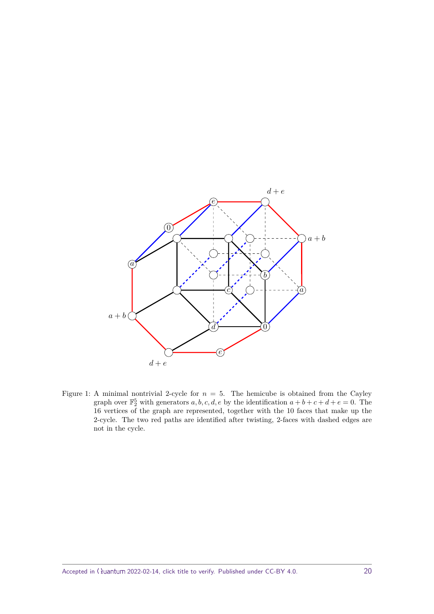<span id="page-19-0"></span>

Figure 1: A minimal nontrivial 2-cycle for  $n = 5$ . The hemicube is obtained from the Cayley graph over  $\mathbb{F}_2^5$  with generators *a*, *b*, *c*, *d*, *e* by the identification  $a + b + c + d + e = 0$ . The 16 vertices of the graph are represented, together with the 10 faces that make up the 2-cycle. The two red paths are identified after twisting, 2-faces with dashed edges are not in the cycle.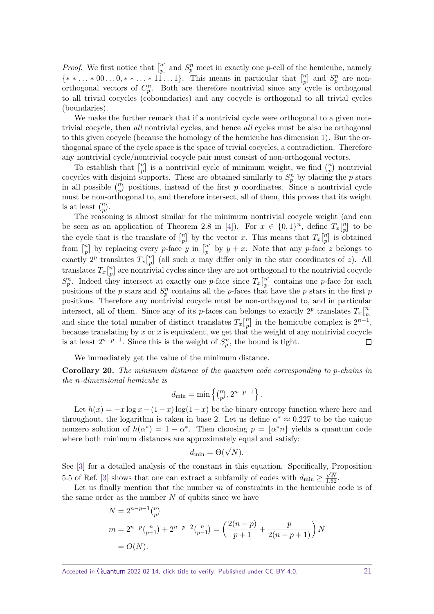*Proof.* We first notice that  $\binom{n}{n}$  $\binom{n}{p}$  and  $S_p^n$  meet in exactly one *p*-cell of the hemicube, namely  $\{** \ldots * 00 \ldots 0, ** \ldots * 11 \ldots 1\}$ . This means in particular that  $\binom{n}{n}$  $\binom{n}{p}$  and  $S_p^n$  are nonorthogonal vectors of  $C_p^n$ . Both are therefore nontrivial since any cycle is orthogonal to all trivial cocycles (coboundaries) and any cocycle is orthogonal to all trivial cycles (boundaries).

We make the further remark that if a nontrivial cycle were orthogonal to a given nontrivial cocycle, then *all* nontrivial cycles, and hence *all* cycles must be also be orthogonal to this given cocycle (because the homology of the hemicube has dimension 1). But the orthogonal space of the cycle space is the space of trivial cocycles, a contradiction. Therefore any nontrivial cycle/nontrivial cocycle pair must consist of non-orthogonal vectors.

To establish that  $\binom{n}{n}$  $\binom{n}{p}$  is a nontrivial cycle of minimum weight, we find  $\binom{n}{p}$  nontrivial cocycles with disjoint supports. These are obtained similarly to  $S_p^n$  by placing the *p* stars in all possible  $\binom{n}{p}$  positions, instead of the first *p* coordinates. Since a nontrivial cycle must be non-orthogonal to, and therefore intersect, all of them, this proves that its weight is at least  $\binom{n}{p}$ .

The reasoning is almost similar for the minimum nontrivial cocycle weight (and can be seen as an application of Theorem 2.8 in [\[4\]](#page-40-6)). For  $x \in \{0,1\}^n$ , define  $T_x\begin{bmatrix}n \\ n\end{bmatrix}$  $\left[\begin{smallmatrix} n\ p \end{smallmatrix}\right]$  to be the cycle that is the translate of  $\binom{n}{n}$  $\binom{n}{p}$  by the vector *x*. This means that  $T_x\binom{n}{p}$  $\binom{n}{p}$  is obtained from  $\binom{n}{n}$  $\binom{n}{p}$  by replacing every *p*-face *y* in  $\binom{n}{p}$  $\binom{n}{p}$  by  $y + x$ . Note that any *p*-face *z* belongs to exactly  $2^p$  translates  $T_x\begin{bmatrix}n\\n\end{bmatrix}$  $\binom{n}{p}$  (all such *x* may differ only in the star coordinates of *z*). All translates  $T_x\begin{bmatrix}n\\n\end{bmatrix}$  $\binom{n}{p}$  are nontrivial cycles since they are not orthogonal to the nontrivial cocycle  $S_p^n$ . Indeed they intersect at exactly one *p*-face since  $T_x\begin{bmatrix}n \\ n\end{bmatrix}$ *p* contains one *p*-face for each positions of the *p* stars and  $S_p^n$  contains all the *p*-faces that have the *p* stars in the first *p* positions. Therefore any nontrivial cocycle must be non-orthogonal to, and in particular intersect, all of them. Since any of its *p*-faces can belongs to exactly  $2^p$  translates  $T_x\binom{n}{n}$  $\genfrac{}{}{0pt}{}{n}{p}$ and since the total number of distinct translates  $T_x\begin{bmatrix}n\\n\end{bmatrix}$  $\binom{n}{p}$  in the hemicube complex is  $2^{n-1}$ , because translating by  $x$  or  $\bar{x}$  is equivalent, we get that the weight of any nontrivial cocycle is at least  $2^{n-p-1}$ . Since this is the weight of  $S_p^n$ , the bound is tight.  $\Box$ 

We immediately get the value of the minimum distance.

**Corollary 20.** *The minimum distance of the quantum code corresponding to p-chains in the n-dimensional hemicube is*

$$
d_{\min} = \min\left\{ {n \choose p}, 2^{n-p-1} \right\}.
$$

Let  $h(x) = -x \log x - (1-x) \log(1-x)$  be the binary entropy function where here and throughout, the logarithm is taken in base 2. Let us define  $\alpha^* \approx 0.227$  to be the unique nonzero solution of  $h(\alpha^*) = 1 - \alpha^*$ . Then choosing  $p = |\alpha^* n|$  yields a quantum code where both minimum distances are approximately equal and satisfy:

$$
d_{\min} = \Theta(\sqrt{N}).
$$

See [\[3\]](#page-40-5) for a detailed analysis of the constant in this equation. Specifically, Proposition 5.5 of Ref. [\[3\]](#page-40-5) shows that one can extract a subfamily of codes with  $d_{\min} \ge \frac{\sqrt{N}}{1.62}$ .

Let us finally mention that the number *m* of constraints in the hemicubic code is of the same order as the number *N* of qubits since we have

$$
N = 2^{n-p-1} {n \choose p}
$$
  
\n
$$
m = 2^{n-p} {n \choose p+1} + 2^{n-p-2} {n \choose p-1} = \left(\frac{2(n-p)}{p+1} + \frac{p}{2(n-p+1)}\right) N
$$
  
\n
$$
= O(N).
$$

Accepted in  $\lambda$ uantum 2022-02-14, click title to verify. Published under CC-BY 4.0. 21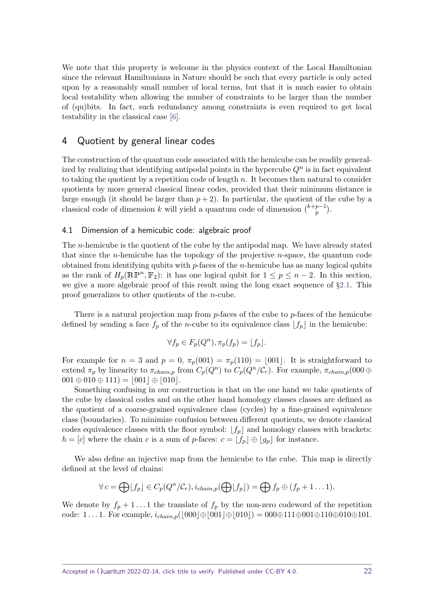We note that this property is welcome in the physics context of the Local Hamiltonian since the relevant Hamiltonians in Nature should be such that every particle is only acted upon by a reasonably small number of local terms, but that it is much easier to obtain local testability when allowing the number of constraints to be larger than the number of (qu)bits. In fact, such redundancy among constraints is even required to get local testability in the classical case [\[6\]](#page-40-7).

# <span id="page-21-0"></span>4 Quotient by general linear codes

The construction of the quantum code associated with the hemicube can be readily generalized by realizing that identifying antipodal points in the hypercube  $Q<sup>n</sup>$  is in fact equivalent to taking the quotient by a repetition code of length *n*. It becomes then natural to consider quotients by more general classical linear codes, provided that their minimum distance is large enough (it should be larger than  $p + 2$ ). In particular, the quotient of the cube by a classical code of dimension *k* will yield a quantum code of dimension  $\binom{k+p-1}{n}$  $\binom{p-1}{p}$ .

### <span id="page-21-1"></span>4.1 Dimension of a hemicubic code: algebraic proof

The *n*-hemicube is the quotient of the cube by the antipodal map. We have already stated that since the *n*-hemicube has the topology of the projective *n*-space, the quantum code obtained from identifying qubits with *p*-faces of the *n*-hemicube has as many logical qubits as the rank of  $H_p(\mathbb{RP}^n, \mathbb{F}_2)$ : it has one logical qubit for  $1 \leq p \leq n-2$ . In this section, we give a more algebraic proof of this result using the long exact sequence of §[2.1.](#page-10-1) This proof generalizes to other quotients of the *n*-cube.

There is a natural projection map from *p*-faces of the cube to *p*-faces of the hemicube defined by sending a face  $f_p$  of the *n*-cube to its equivalence class  $|f_p|$  in the hemicube:

$$
\forall f_p \in F_p(Q^n), \pi_p(f_p) = \lfloor f_p \rfloor.
$$

For example for  $n = 3$  and  $p = 0$ ,  $\pi_p(001) = \pi_p(110) = [001]$ . It is straightforward to extend  $\pi_p$  by linearity to  $\pi_{chain,p}$  from  $C_p(Q^n)$  to  $C_p(Q^n/\mathcal{C}_r)$ . For example,  $\pi_{chain,p}(000 \oplus$  $001 \oplus 010 \oplus 111$  =  $|001| \oplus |010|$ .

Something confusing in our construction is that on the one hand we take quotients of the cube by classical codes and on the other hand homology classes classes are defined as the quotient of a coarse-grained equivalence class (cycles) by a fine-grained equivalence class (boundaries). To minimize confusion between different quotients, we denote classical codes equivalence classes with the floor symbol:  $\lfloor f_p \rfloor$  and homology classes with brackets:  $h = [c]$  where the chain *c* is a sum of *p*-faces:  $c = [f_p] \oplus [g_p]$  for instance.

We also define an injective map from the hemicube to the cube. This map is directly defined at the level of chains:

$$
\forall c = \bigoplus [f_p] \in C_p(Q^n/\mathcal{C}_r), i_{chain,p}(\bigoplus [f_p]) = \bigoplus f_p \oplus (f_p + 1 \dots 1).
$$

We denote by  $f_p + 1 \ldots 1$  the translate of  $f_p$  by the non-zero codeword of the repetition code: 1...1. For example,  $i_{chain,p}(|000| \oplus |001| \oplus |010|) = 000 \oplus 111 \oplus 001 \oplus 110 \oplus 010 \oplus 101$ .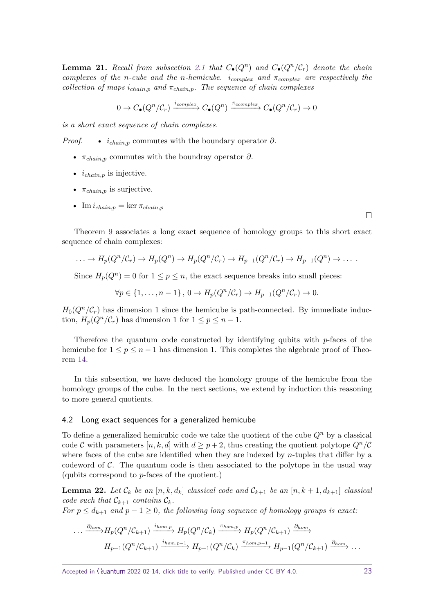**Lemma 21.** Recall from subsection [2.1](#page-10-1) that  $C_{\bullet}(Q^n)$  and  $C_{\bullet}(Q^n/\mathcal{C}_r)$  denote the chain *complexes of the n-cube and the n-hemicube. icomplex and πcomplex are respectively the collection of maps*  $i_{chain,p}$  *and*  $\pi_{chain,p}$ *. The sequence of chain complexes* 

$$
0 \to C_{\bullet}(Q^n/\mathcal{C}_r) \xrightarrow{i_{complex}} C_{\bullet}(Q^n) \xrightarrow{\pi_{ccomplex}} C_{\bullet}(Q^n/\mathcal{C}_r) \to 0
$$

*is a short exact sequence of chain complexes.*

*Proof.* •  $i_{chain, p}$  commutes with the boundary operator  $\partial$ .

- *πchain,p* commutes with the boundray operator *∂*.
- *ichain,p* is injective.
- $\pi_{chain, p}$  is surjective.
- Im  $i_{chain,n} = \ker \pi_{chain,n}$

Theorem [9](#page-10-2) associates a long exact sequence of homology groups to this short exact sequence of chain complexes:

$$
\ldots \to H_p(Q^n/\mathcal{C}_r) \to H_p(Q^n) \to H_p(Q^n/\mathcal{C}_r) \to H_{p-1}(Q^n/\mathcal{C}_r) \to H_{p-1}(Q^n) \to \ldots
$$

Since  $H_p(Q^n) = 0$  for  $1 \le p \le n$ , the exact sequence breaks into small pieces:

$$
\forall p \in \{1, \ldots, n-1\}, 0 \to H_p(Q^n/\mathcal{C}_r) \to H_{p-1}(Q^n/\mathcal{C}_r) \to 0.
$$

 $H_0(Q^n/\mathcal{C}_r)$  has dimension 1 since the hemicube is path-connected. By immediate induction,  $H_p(Q^n/\mathcal{C}_r)$  has dimension 1 for  $1 \leq p \leq n-1$ .

Therefore the quantum code constructed by identifying qubits with *p*-faces of the hemicube for  $1 \leq p \leq n-1$  has dimension 1. This completes the algebraic proof of Theorem [14.](#page-15-1)

In this subsection, we have deduced the homology groups of the hemicube from the homology groups of the cube. In the next sections, we extend by induction this reasoning to more general quotients.

### 4.2 Long exact sequences for a generalized hemicube

To define a generalized hemicubic code we take the quotient of the cube *Q<sup>n</sup>* by a classical code C with parameters  $[n, k, d]$  with  $d \geq p+2$ , thus creating the quotient polytope  $Q^n/\mathcal{C}$ where faces of the cube are identified when they are indexed by *n*-tuples that differ by a codeword of  $\mathcal{C}$ . The quantum code is then associated to the polytope in the usual way (qubits correspond to *p*-faces of the quotient.)

**Lemma 22.** Let  $\mathcal{C}_k$  be an  $[n, k, d_k]$  classical code and  $\mathcal{C}_{k+1}$  be an  $[n, k+1, d_{k+1}]$  classical *code such that*  $\mathcal{C}_{k+1}$  *contains*  $\mathcal{C}_k$ *.* 

*For*  $p \leq d_{k+1}$  *and*  $p-1 \geq 0$ *, the following long sequence of homology groups is exact:* 

$$
\cdots \xrightarrow{\partial_{hom}} H_p(Q^n/\mathcal{C}_{k+1}) \xrightarrow{i_{hom,p}} H_p(Q^n/\mathcal{C}_k) \xrightarrow{\pi_{hom,p}} H_p(Q^n/\mathcal{C}_{k+1}) \xrightarrow{\partial_{hom}} H_{p-1}(Q^n/\mathcal{C}_{k+1}) \xrightarrow{i_{hom,p-1}} H_{p-1}(Q^n/\mathcal{C}_{k+1}) \xrightarrow{\partial_{hom}} \cdots
$$

 $\Box$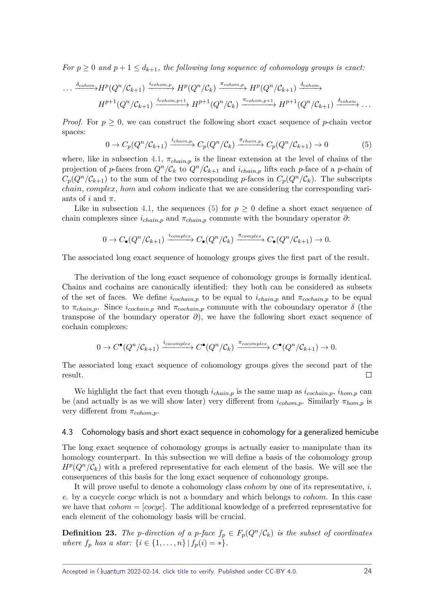*For*  $p \ge 0$  *and*  $p + 1 \le d_{k+1}$ *, the following long sequence of cohomology groups is exact:* 

$$
\cdots \xrightarrow{\delta_{\text{cohom}}} H^p(Q^n/\mathcal{C}_{k+1}) \xrightarrow{i_{\text{cohom},p}} H^p(Q^n/\mathcal{C}_k) \xrightarrow{\pi_{\text{cohom},p}} H^p(Q^n/\mathcal{C}_{k+1}) \xrightarrow{\delta_{\text{cohom}}} H^{p+1}(Q^n/\mathcal{C}_{k+1}) \xrightarrow{i_{\text{cohom},p+1}} H^{p+1}(Q^n/\mathcal{C}_{k+1}) \xrightarrow{\delta_{\text{cohom}}} \cdots
$$

*Proof.* For  $p \geq 0$ , we can construct the following short exact sequence of *p*-chain vector spaces:

<span id="page-23-0"></span>
$$
0 \to C_p(Q^n/\mathcal{C}_{k+1}) \xrightarrow{i_{chain,p}} C_p(Q^n/\mathcal{C}_k) \xrightarrow{\pi_{chain,p}} C_p(Q^n/\mathcal{C}_{k+1}) \to 0
$$
 (5)

where, like in subsection [4.1,](#page-21-1)  $\pi_{chain,p}$  is the linear extension at the level of chains of the projection of *p*-faces from  $Q^n/\mathcal{C}_k$  to  $Q^n/\mathcal{C}_{k+1}$  and  $i_{chain,p}$  lifts each *p*-face of a *p*-chain of  $C_p(Q^n/\mathcal{C}_{k+1})$  to the sum of the two corresponding *p*-faces in  $C_p(Q^n/\mathcal{C}_k)$ . The subscripts *chain*, *complex*, *hom* and *cohom* indicate that we are considering the corresponding variants of *i* and *π*.

Like in subsection [4.1,](#page-21-1) the sequences [\(5\)](#page-23-0) for  $p \geq 0$  define a short exact sequence of chain complexes since  $i_{chain,p}$  and  $\pi_{chain,p}$  commute with the boundary operator  $\partial$ :

<span id="page-23-1"></span>
$$
0 \to C_{\bullet}(Q^n/\mathcal{C}_{k+1}) \xrightarrow{icomplex} C_{\bullet}(Q^n/\mathcal{C}_k) \xrightarrow{\pi_{complex}} C_{\bullet}(Q^n/\mathcal{C}_{k+1}) \to 0.
$$

The associated long exact sequence of homology groups gives the first part of the result.

The derivation of the long exact sequence of cohomology groups is formally identical. Chains and cochains are canonically identified: they both can be considered as subsets of the set of faces. We define  $i_{cochain,p}$  to be equal to  $i_{chain,p}$  and  $\pi_{cochain,p}$  to be equal to  $\pi_{chain,p}$ . Since  $i_{cochain,p}$  and  $\pi_{cochain,p}$  commute with the coboundary operator  $\delta$  (the transpose of the boundary operator *∂*), we have the following short exact sequence of cochain complexes:

$$
0 \to C^{\bullet}(Q^n/\mathcal{C}_{k+1}) \xrightarrow{i_{cocomplete}} C^{\bullet}(Q^n/\mathcal{C}_k) \xrightarrow{\pi_{cocomplete}} C^{\bullet}(Q^n/\mathcal{C}_{k+1}) \to 0.
$$

The associated long exact sequence of cohomology groups gives the second part of the result.  $\Box$ 

We highlight the fact that even though  $i_{chain,p}$  is the same map as  $i_{cochain,p}$ ,  $i_{hom,p}$  can be (and actually is as we will show later) very different from *icohom,p*. Similarly *πhom,p* is very different from *πcohom,p*.

### <span id="page-23-2"></span>4.3 Cohomology basis and short exact sequence in cohomology for a generalized hemicube

The long exact sequence of cohomology groups is actually easier to manipulate than its homology counterpart. In this subsection we will define a basis of the cohomology group  $H^p(Q^n/\mathcal{C}_k)$  with a prefered representative for each element of the basis. We will see the consequences of this basis for the long exact sequence of cohomology groups.

It will prove useful to denote a cohomology class *cohom* by one of its representative, i. e. by a cocycle *cocyc* which is not a boundary and which belongs to *cohom*. In this case we have that *cohom* = [*cocyc*]. The additional knowledge of a preferred representative for each element of the cohomology basis will be crucial.

**Definition 23.** The *p*-direction of a *p*-face  $f_p \in F_p(Q^n/\mathcal{C}_k)$  is the subset of coordinates *where*  $f_p$  *has a star:*  $\{i \in \{1, ..., n\} | f_p(i) = *\}.$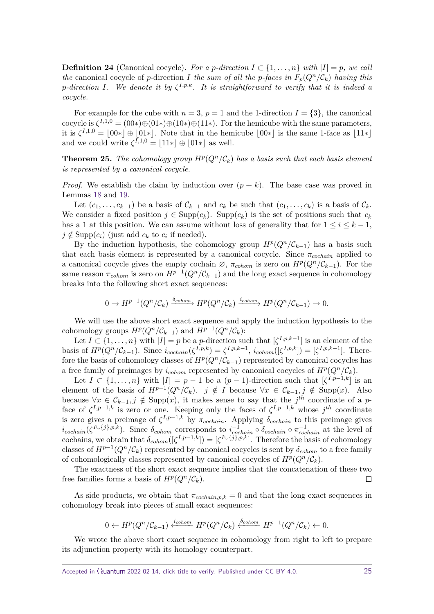**Definition 24** (Canonical cocycle). For a *p*<sup>*-direction I* ⊂ {1, . . . , *n*} *with*  $|I| = p$ *, we call*</sup> *the* canonical cocycle of *p*-direction *I* the sum of all the *p*-faces in  $F_p(Q^n/\mathcal{C}_k)$  having this *p*-direction *I*. We denote it by  $\zeta^{I,p,k}$ . It is straightforward to verify that it is indeed a *cocycle.*

For example for the cube with  $n = 3$ ,  $p = 1$  and the 1-direction  $I = \{3\}$ , the canonical cocycle is  $\zeta^{I,1,0} = (00*) \oplus (01*) \oplus (10*) \oplus (11*)$ . For the hemicube with the same parameters, it is  $\zeta^{I,1,0} = |00*| \oplus |01*|$ . Note that in the hemicube  $|00*|$  is the same 1-face as  $|11*|$ and we could write  $\zeta^{I,1,0} = |11*| \oplus |01*|$  as well.

**Theorem 25.** The cohomology group  $H^p(Q^n/\mathcal{C}_k)$  has a basis such that each basis element *is represented by a canonical cocycle.*

*Proof.* We establish the claim by induction over  $(p + k)$ . The base case was proved in Lemmas [18](#page-18-1) and [19.](#page-18-0)

Let  $(c_1, \ldots, c_{k-1})$  be a basis of  $\mathcal{C}_{k-1}$  and  $c_k$  be such that  $(c_1, \ldots, c_k)$  is a basis of  $\mathcal{C}_k$ . We consider a fixed position  $j \in \text{Supp}(c_k)$ . Supp $(c_k)$  is the set of positions such that  $c_k$ has a 1 at this position. We can assume without loss of generality that for  $1 \leq i \leq k - 1$ ,  $j \notin \text{Supp}(c_i)$  (just add  $c_k$  to  $c_i$  if needed).

By the induction hypothesis, the cohomology group  $H^p(Q^n/\mathcal{C}_{k-1})$  has a basis such that each basis element is represented by a canonical cocycle. Since *πcochain* applied to a canonical cocycle gives the empty cochain  $\emptyset$ ,  $\pi_{\text{cohom}}$  is zero on  $H^p(Q^n/\mathcal{C}_{k-1})$ . For the same reason  $\pi_{cohom}$  is zero on  $H^{p-1}(Q^n/\mathcal{C}_{k-1})$  and the long exact sequence in cohomology breaks into the following short exact sequences:

$$
0 \to H^{p-1}(Q^n/\mathcal{C}_k) \xrightarrow{\delta_{\text{cohom}}} H^p(Q^n/\mathcal{C}_k) \xrightarrow{i_{\text{cohom}}} H^p(Q^n/\mathcal{C}_{k-1}) \to 0.
$$

We will use the above short exact sequence and apply the induction hypothesis to the cohomology groups  $H^p(Q^n/\mathcal{C}_{k-1})$  and  $H^{p-1}(Q^n/\mathcal{C}_k)$ :

Let  $I \subset \{1, \ldots, n\}$  with  $|I| = p$  be a *p*-direction such that  $\lbrack \zeta^{I,p,k-1} \rbrack$  is an element of the basis of  $H^p(Q^n/\mathcal{C}_{k-1})$ . Since  $i_{cochain}(\zeta^{I,p,k}) = \zeta^{I,p,k-1}$ ,  $i_{cohom}([\zeta^{I,p,k}]) = [\zeta^{I,p,k-1}]$ . Therefore the basis of cohomology classes of  $H^p(Q^n/\mathcal{C}_{k-1})$  represented by canonical cocycles has a free family of preimages by  $i_{\text{cohom}}$  represented by canonical cocycles of  $H^p(Q^n/\mathcal{C}_k)$ .

Let  $I \subset \{1, \ldots, n\}$  with  $|I| = p - 1$  be a  $(p - 1)$ -direction such that  $[\zeta^{I,p-1,k}]$  is an element of the basis of  $H^{p-1}(Q^n/\mathcal{C}_k)$ .  $j \notin I$  because  $\forall x \in \mathcal{C}_{k-1}, j \notin \text{Supp}(x)$ . Also because  $\forall x \in C_{k-1}, j \notin \text{Supp}(x)$ , it makes sense to say that the  $j^{th}$  coordinate of a *p*face of  $\zeta^{I,p-1,k}$  is zero or one. Keeping only the faces of  $\zeta^{I,p-1,k}$  whose  $j^{th}$  coordinate is zero gives a preimage of  $\zeta^{I,p-1,k}$  by  $\pi_{cochain}$ . Applying  $\delta_{cochain}$  to this preimage gives  $i_{cochain}(\zeta^{I\cup\{j\},p,k})$ . Since  $\delta_{cohom}$  corresponds to  $i_{cochain}^{-1} \circ \delta_{cochain} \circ \pi_{cochain}^{-1}$  at the level of cochains, we obtain that  $\delta_{\text{cohom}}([\zeta^{I,p-1,k}]) = [\zeta^{I \cup {\{\overline{j}\},p,k}}]$ . Therefore the basis of cohomology classes of  $H^{p-1}(Q^n/\mathcal{C}_k)$  represented by canonical cocycles is sent by  $\delta_{\text{cohom}}$  to a free family of cohomologically classes represented by canonical cocycles of  $H^p(Q^n/\mathcal{C}_k)$ .

The exactness of the short exact sequence implies that the concatenation of these two free families forms a basis of  $H^p(Q^n/\mathcal{C}_k)$ .  $\Box$ 

As side products, we obtain that  $\pi_{cochain,p,k} = 0$  and that the long exact sequences in cohomology break into pieces of small exact sequences:

$$
0 \leftarrow H^p(Q^n/\mathcal{C}_{k-1}) \xleftarrow{i_{cohom}} H^p(Q^n/\mathcal{C}_k) \xleftarrow{\delta_{cohom}} H^{p-1}(Q^n/\mathcal{C}_k) \leftarrow 0.
$$

We wrote the above short exact sequence in cohomology from right to left to prepare its adjunction property with its homology counterpart.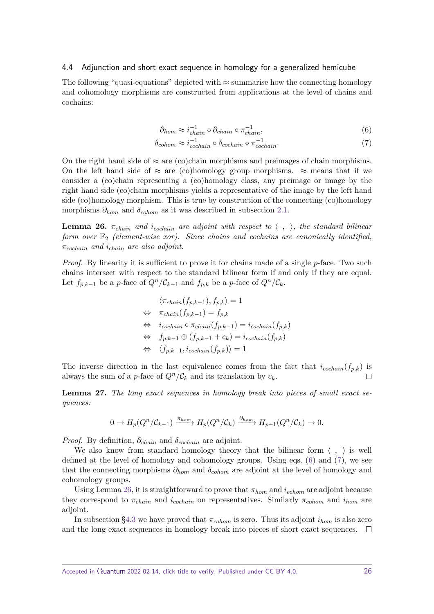### 4.4 Adjunction and short exact sequence in homology for a generalized hemicube

The following "quasi-equations" depicted with  $\approx$  summarise how the connecting homology and cohomology morphisms are constructed from applications at the level of chains and cochains:

<span id="page-25-0"></span>
$$
\partial_{hom} \approx i_{chain}^{-1} \circ \partial_{chain} \circ \pi_{chain}^{-1}, \tag{6}
$$

$$
\delta_{cohom} \approx i_{cochain}^{-1} \circ \delta_{cochain} \circ \pi_{cochain}^{-1}.
$$
\n(7)

On the right hand side of  $\approx$  are (co)chain morphisms and preimages of chain morphisms. On the left hand side of  $\approx$  are (co)homology group morphisms.  $\approx$  means that if we consider a (co)chain representing a (co)homology class, any preimage or image by the right hand side (co)chain morphisms yields a representative of the image by the left hand side (co)homology morphism. This is true by construction of the connecting (co)homology morphisms  $\partial_{hom}$  and  $\delta_{cohom}$  as it was described in subsection [2.1.](#page-10-1)

<span id="page-25-1"></span>**Lemma 26.**  $\pi_{chain}$  *and i*<sub>cochain</sub> are adjoint with respect to  $\langle , , \rangle$ , the standard bilinear *form over*  $\mathbb{F}_2$  *(element-wise xor). Since chains and cochains are canonically identified, πcochain and ichain are also adjoint.*

*Proof.* By linearity it is sufficient to prove it for chains made of a single *p*-face. Two such chains intersect with respect to the standard bilinear form if and only if they are equal. Let  $f_{p,k-1}$  be a *p*-face of  $Q^n/\mathcal{C}_{k-1}$  and  $f_{p,k}$  be a *p*-face of  $Q^n/\mathcal{C}_k$ .

$$
\langle \pi_{chain}(f_{p,k-1}), f_{p,k} \rangle = 1
$$
  
\n
$$
\Leftrightarrow \pi_{chain}(f_{p,k-1}) = f_{p,k}
$$
  
\n
$$
\Leftrightarrow i_{cochain} \circ \pi_{chain}(f_{p,k-1}) = i_{cochain}(f_{p,k})
$$
  
\n
$$
\Leftrightarrow f_{p,k-1} \oplus (f_{p,k-1} + c_k) = i_{cochain}(f_{p,k})
$$
  
\n
$$
\Leftrightarrow \langle f_{p,k-1}, i_{cochain}(f_{p,k}) \rangle = 1
$$

The inverse direction in the last equivalence comes from the fact that  $i_{cochain}(f_{p,k})$  is always the sum of a *p*-face of  $Q^n/\mathcal{C}_k$  and its translation by  $c_k$ .  $\Box$ 

**Lemma 27.** *The long exact sequences in homology break into pieces of small exact sequences:*

$$
0 \to H_p(Q^n/\mathcal{C}_{k-1}) \xrightarrow{\pi_{hom}} H_p(Q^n/\mathcal{C}_k) \xrightarrow{\partial_{hom}} H_{p-1}(Q^n/\mathcal{C}_k) \to 0.
$$

*Proof.* By definition, *∂chain* and *δcochain* are adjoint.

We also know from standard homology theory that the bilinear form  $\langle , , \rangle$  is well defined at the level of homology and cohomology groups. Using eqs. [\(6\)](#page-23-1) and [\(7\)](#page-25-0), we see that the connecting morphisms *∂hom* and *δcohom* are adjoint at the level of homology and cohomology groups.

Using Lemma [26,](#page-25-1) it is straightforward to prove that  $\pi_{hom}$  and  $i_{cohom}$  are adjoint because they correspond to  $\pi_{chain}$  and  $i_{cochain}$  on representatives. Similarly  $\pi_{cohom}$  and  $i_{hom}$  are adjoint.

In subsection [§4.3](#page-23-2) we have proved that  $\pi_{\text{cohom}}$  is zero. Thus its adjoint  $i_{\text{hom}}$  is also zero and the long exact sequences in homology break into pieces of short exact sequences.  $\Box$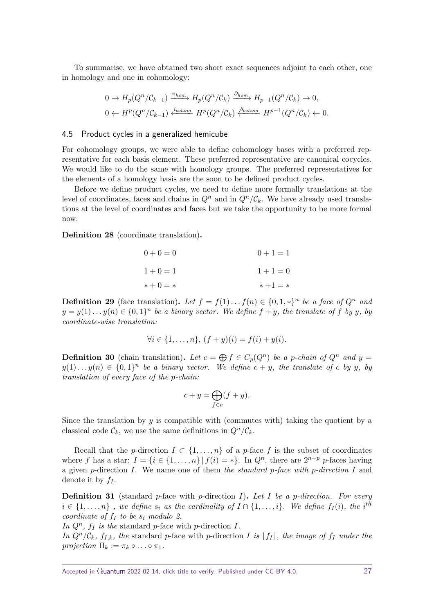To summarise, we have obtained two short exact sequences adjoint to each other, one in homology and one in cohomology:

$$
0 \to H_p(Q^n/\mathcal{C}_{k-1}) \xrightarrow{\pi_{hom}} H_p(Q^n/\mathcal{C}_k) \xrightarrow{\partial_{hom}} H_{p-1}(Q^n/\mathcal{C}_k) \to 0,
$$
  

$$
0 \leftarrow H^p(Q^n/\mathcal{C}_{k-1}) \xleftarrow{i_{cohom}} H^p(Q^n/\mathcal{C}_k) \xleftarrow{\delta_{cohom}} H^{p-1}(Q^n/\mathcal{C}_k) \leftarrow 0.
$$

### 4.5 Product cycles in a generalized hemicube

For cohomology groups, we were able to define cohomology bases with a preferred representative for each basis element. These preferred representative are canonical cocycles. We would like to do the same with homology groups. The preferred representatives for the elements of a homology basis are the soon to be defined product cycles.

Before we define product cycles, we need to define more formally translations at the level of coordinates, faces and chains in  $Q^n$  and in  $Q^n/\mathcal{C}_k$ . We have already used translations at the level of coordinates and faces but we take the opportunity to be more formal now:

**Definition 28** (coordinate translation)**.**

| $0 + 0 = 0$ | $0+1=1$   |
|-------------|-----------|
| $1 + 0 = 1$ | $1+1=0$   |
| $* + 0 = *$ | $*+1 = *$ |

**Definition 29** (face translation). Let  $f = f(1) \dots f(n) \in \{0, 1, *\}^n$  be a face of  $Q^n$  and  $y = y(1) \ldots y(n) \in \{0,1\}^n$  be a binary vector. We define  $f + y$ *, the translate of*  $f$  by  $y$ *, by coordinate-wise translation:*

$$
\forall i \in \{1, \dots, n\}, (f + y)(i) = f(i) + y(i).
$$

**Definition 30** (chain translation). Let  $c = \bigoplus f \in C_p(Q^n)$  be a p-chain of  $Q^n$  and  $y =$  $y(1) \ldots y(n) \in \{0,1\}^n$  be a binary vector. We define  $c + y$ , the translate of *c* by *y*, by *translation of every face of the p-chain:*

$$
c + y = \bigoplus_{f \in c} (f + y).
$$

Since the translation by *y* is compatible with (commutes with) taking the quotient by a classical code  $\mathcal{C}_k$ , we use the same definitions in  $Q^n/\mathcal{C}_k$ .

Recall that the *p*-direction  $I \subset \{1, ..., n\}$  of a *p*-face f is the subset of coordinates where *f* has a star:  $I = \{i \in \{1, ..., n\} | f(i) = *\}.$  In  $Q^n$ , there are  $2^{n-p}$  *p*-faces having a given *p*-direction *I*. We name one of them the standard *p*-face with *p*-direction *I* and denote it by *f<sup>I</sup>* .

**Definition 31** (standard *p*-face with *p*-direction *I*)**.** *Let I be a p-direction. For every*  $i \in \{1, \ldots, n\}$ , we define  $s_i$  as the cardinality of  $I \cap \{1, \ldots, i\}$ . We define  $f_I(i)$ , the *i*<sup>th</sup> *coordinate of*  $f_I$  *to be*  $s_i$  *modulo 2.* 

In  $Q^n$ ,  $f_I$  *is the* standard *p*-face with *p*-direction *I.* 

*In*  $Q^n/C_k$ ,  $f_{I,k}$ *, the* standard *p*-face with *p*-direction *I is*  $|f_I|$ *, the image of*  $f_I$  *under the projection*  $\Pi_k := \pi_k \circ \ldots \circ \pi_1$ .

Accepted in  $\lambda$ uantum 2022-02-14, click title to verify. Published under CC-BY 4.0. 27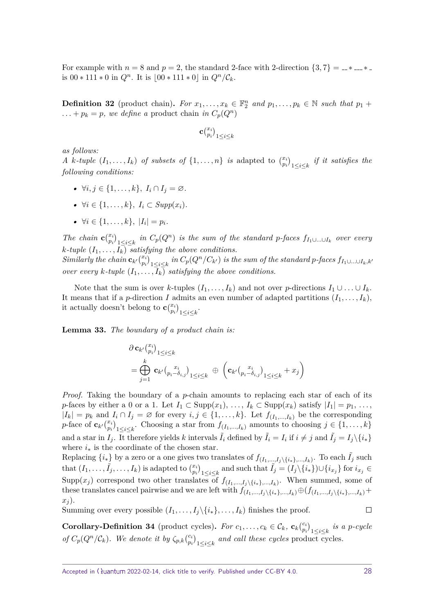For example with  $n = 8$  and  $p = 2$ , the standard 2-face with 2-direction  $\{3, 7\} = 4.48$ is  $00 * 111 * 0$  in  $Q^n$ . It is  $\lfloor 00 * 111 * 0 \rfloor$  in  $Q^n / C_k$ .

**Definition 32** (product chain). For  $x_1, \ldots, x_k \in \mathbb{F}_2^n$  and  $p_1, \ldots, p_k \in \mathbb{N}$  such that  $p_1 + p_2$  $\ldots + p_k = p$ *, we define a* product chain *in*  $C_p(Q^n)$ 

$$
\mathbf{c}_{p_i}^{(x_i)}\big|_{1\leq i\leq k}
$$

*as follows:*

*A k*-tuple  $(I_1, \ldots, I_k)$  *of subsets of*  $\{1, \ldots, n\}$  *is* adapted to  $\binom{x_i}{p_i}_{1 \leq i \leq k}$  *if it satisfies the following conditions:*

- *•* ∀*i, j* ∈ {1*, . . . , k*}*, I<sup>i</sup>* ∩ *I<sup>j</sup>* = ∅*.*
- *•* ∀*i* ∈ {1*, . . . , k*}*, I<sup>i</sup>* ⊂ *Supp*(*xi*)*.*
- *•* ∀*i* ∈ {1*, . . . , k*}*,* |*I<sup>i</sup>* | = *pi.*

The chain  $\mathbf{c}_{p_i}^{(x_i)}\big|_{1\leq i\leq k}$  in  $C_p(Q^n)$  is the sum of the standard p-faces  $f_{I_1\cup\ldots\cup I_k}$  over every *k*-tuple  $(I_1, \ldots, I_k)$  *satisfying the above conditions.* 

 $Similarly the \ chain \ \mathbf{c}_{k'} \binom{x_i}{p_i}_{1\leq i\leq k} \ in \ C_p(Q^n/C_{k'}) \ is \ the \ sum \ of \ the \ standard \ p\-\nfaces \ f_{I_1\cup...\cup I_k,k'}$ *over every k*-tuple  $(I_1, \ldots, I_k)$  *satisfying the above conditions.* 

Note that the sum is over *k*-tuples  $(I_1, \ldots, I_k)$  and not over *p*-directions  $I_1 \cup \ldots \cup I_k$ . It means that if a *p*-direction *I* admits an even number of adapted partitions  $(I_1, \ldots, I_k)$ , it actually doesn't belong to  $\mathbf{c} \binom{x_i}{p_i}_{1 \leq i \leq k}$ .

<span id="page-27-0"></span>**Lemma 33.** *The boundary of a product chain is:*

$$
\partial \mathbf{c}_{k'} \begin{pmatrix} x_i \\ p_i \end{pmatrix}_{1 \leq i \leq k} = \bigoplus_{j=1}^k \mathbf{c}_{k'} \begin{pmatrix} x_i \\ p_i - \delta_{i,j} \end{pmatrix}_{1 \leq i \leq k} \oplus \left( \mathbf{c}_{k'} \begin{pmatrix} x_i \\ p_i - \delta_{i,j} \end{pmatrix}_{1 \leq i \leq k} + x_j \right)
$$

*Proof.* Taking the boundary of a *p*-chain amounts to replacing each star of each of its *p*-faces by either a 0 or a 1. Let  $I_1 \subset \text{Supp}(x_1), \ldots, I_k \subset \text{Supp}(x_k)$  satisfy  $|I_1| = p_1, \ldots, p_k$  $|I_k| = p_k$  and  $I_i \cap I_j = \emptyset$  for every  $i, j \in \{1, \ldots, k\}$ . Let  $f_{(I_1, \ldots, I_k)}$  be the corresponding *p*-face of  $\mathbf{c}_{k'}\binom{x_i}{p_i}_{1\leq i\leq k}$ . Choosing a star from  $f_{(I_1,...,I_k)}$  amounts to choosing  $j \in \{1,...,k\}$ and a star in  $I_j$ . It therefore yields *k* intervals  $\tilde{I}_i$  defined by  $\tilde{I}_i = I_i$  if  $i \neq j$  and  $\tilde{I}_j = I_j \setminus \{i_*\}$ where  $i_*$  is the coordinate of the chosen star.

Replacing  $\{i_*\}$  by a zero or a one gives two translates of  $f_{(I_1,...,I_j\setminus\{i_*\},...,I_k)}$ . To each  $\tilde{I}_j$  such that  $(I_1,\ldots,\tilde{I}_j,\ldots,I_k)$  is adapted to  $\binom{x_i}{p_i}_{1\leq i\leq k}$  and such that  $\tilde{I}_j=(I_j\setminus\{i_*\})\cup\{i_{x_j}\}$  for  $i_{x_j}\in$ Supp $(x_j)$  correspond two other translates of  $f_{(I_1,...,I_j\setminus\{i_*\},...,I_k)}$ . When summed, some of these translates cancel pairwise and we are left with  $f_{(I_1,...,I_i\setminus\{i_*\},...,I_k)}(f_{(I_1,...,I_i\setminus\{i_*\},...,I_k)} +$ *x<sup>j</sup>* ).  $\Box$ 

Summing over every possible  $(I_1, \ldots, I_i \setminus \{i_*\}, \ldots, I_k)$  finishes the proof.

**Corollary-Definition 34** (product cycles). For  $c_1, \ldots, c_k \in C_k$ ,  $\mathbf{c}_k \binom{c_i}{n}$  $\binom{c_i}{p_i}_{1 \leq i \leq k}$  *is a p-cycle of*  $C_p(Q^n/\mathcal{C}_k)$ *. We denote it by*  $\zeta_{p,k}$   $\binom{c_i}{p_i}$  $\binom{c_i}{p_i}_{1 \leq i \leq k}$  *and call these cycles* product cycles.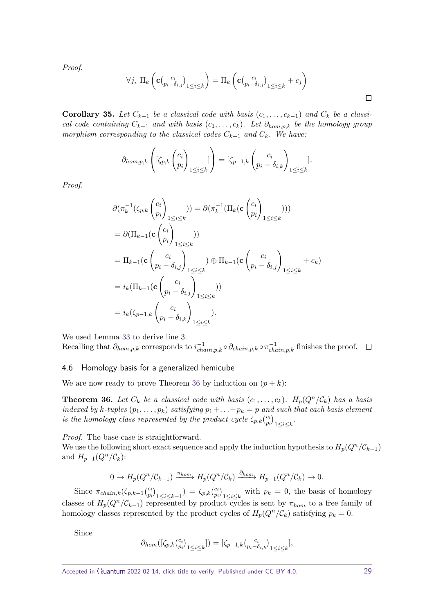*Proof.*

$$
\forall j, \; \Pi_k \left( \mathbf{c} \big( \begin{matrix} c_i \\ p_i - \delta_{i,j} \end{matrix} \big)_{1 \leq i \leq k} \right) = \Pi_k \left( \mathbf{c} \big( \begin{matrix} c_i \\ p_i - \delta_{i,j} \end{matrix} \big)_{1 \leq i \leq k} + c_j \right)
$$

**Corollary 35.** Let  $C_{k-1}$  be a classical code with basis  $(c_1, \ldots, c_{k-1})$  and  $C_k$  be a classi*cal code containing*  $C_{k-1}$  *and with basis*  $(c_1, \ldots, c_k)$ *. Let*  $\partial_{hom,p,k}$  *be the homology group morphism corresponding to the classical codes*  $C_{k-1}$  *and*  $C_k$ *. We have:* 

$$
\partial_{hom,p,k}\left([\zeta_{p,k}\begin{pmatrix}c_i\\p_i\end{pmatrix}_{1\leq i\leq k}\right) = [\zeta_{p-1,k}\begin{pmatrix}c_i\\p_i-\delta_{i,k}\end{pmatrix}_{1\leq i\leq k}].
$$

*Proof.*

$$
\partial(\pi_k^{-1}(\zeta_{p,k} \binom{c_i}{p_i}_{1 \leq i \leq k}) ) = \partial(\pi_k^{-1}(\Pi_k(\mathbf{c} \binom{c_i}{p_i}_{1 \leq i \leq k})))
$$
\n
$$
= \partial(\Pi_{k-1}(\mathbf{c} \binom{c_i}{p_i}_{1 \leq i \leq k}) )
$$
\n
$$
= \Pi_{k-1}(\mathbf{c} \binom{c_i}{p_i - \delta_{i,j}}_{1 \leq i \leq k}) \oplus \Pi_{k-1}(\mathbf{c} \binom{c_i}{p_i - \delta_{i,j}}_{1 \leq i \leq k} + c_k)
$$
\n
$$
= i_k(\Pi_{k-1}(\mathbf{c} \binom{c_i}{p_i - \delta_{i,j}}_{1 \leq i \leq k}))
$$
\n
$$
= i_k(\zeta_{p-1,k} \binom{c_i}{p_i - \delta_{i,k}}_{1 \leq i \leq k}).
$$

We used Lemma [33](#page-27-0) to derive line 3. Recalling that  $\partial_{hom,p,k}$  corresponds to  $i_{chain,p,k}^{-1} \circ \partial_{chain,p,k} \circ \pi_{chain,p,k}^{-1}$  finishes the proof.

### 4.6 Homology basis for a generalized hemicube

We are now ready to prove Theorem [36](#page-28-0) by induction on  $(p + k)$ :

<span id="page-28-0"></span>**Theorem 36.** Let  $C_k$  be a classical code with basis  $(c_1, \ldots, c_k)$ .  $H_p(Q^n/\mathcal{C}_k)$  has a basis *indexed by*  $k$ *-tuples*  $(p_1, \ldots, p_k)$  *satisfying*  $p_1 + \ldots + p_k = p$  *and such that each basis element is the homology class represented by the product cycle*  $\zeta_{p,k}$  $\binom{c_i}{p_k}$  $\binom{c_i}{p_i}_{1\leq i\leq k}$ .

*Proof.* The base case is straightforward.

We use the following short exact sequence and apply the induction hypothesis to  $H_p(Q^n/\mathcal{C}_{k-1})$ and  $H_{p-1}(Q^n/\mathcal{C}_k)$ :

$$
0 \to H_p(Q^n/\mathcal{C}_{k-1}) \xrightarrow{\pi_{hom}} H_p(Q^n/\mathcal{C}_k) \xrightarrow{\partial_{hom}} H_{p-1}(Q^n/\mathcal{C}_k) \to 0.
$$

Since  $\pi_{chain,k}(\zeta_{p,k-1})$  $\binom{c_i}{p_i}_{1 \leq i \leq k-1}$  =  $\zeta_{p,k} \binom{c_i}{p_i}$  $\binom{c_i}{p_i}_{1 \leq i \leq k}$  with  $p_k = 0$ , the basis of homology classes of  $H_p(Q^n/\mathcal{C}_{k-1})$  represented by product cycles is sent by  $\pi_{hom}$  to a free family of homology classes represented by the product cycles of  $H_p(Q^n/\mathcal{C}_k)$  satisfying  $p_k = 0$ .

Since

$$
\partial_{hom}([\zeta_{p,k} \binom{c_i}{p_i}_{1 \leq i \leq k}] ) = [\zeta_{p-1,k} \binom{c_i}{p_i - \delta_{i,k}}_{1 \leq i \leq k}],
$$

Accepted in  $\lambda$ uantum 2022-02-14, click title to verify. Published under CC-BY 4.0. 29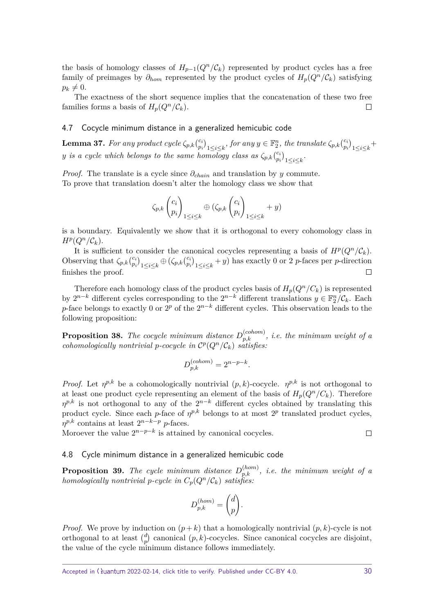the basis of homology classes of  $H_{p-1}(Q^n/\mathcal{C}_k)$  represented by product cycles has a free family of preimages by  $\partial_{hom}$  represented by the product cycles of  $H_p(Q^n/\mathcal{C}_k)$  satisfying  $p_k \neq 0$ .

The exactness of the short sequence implies that the concatenation of these two free families forms a basis of  $H_p(Q^n/\mathcal{C}_k)$ .  $\Box$ 

### 4.7 Cocycle minimum distance in a generalized hemicubic code

**Lemma 37.** For any product cycle  $\zeta_{p,k}$  $\binom{c_i}{p_k}$  $\binom{c_i}{p_i}_{1 \leq i \leq k}$ , for any  $y \in \mathbb{F}_2^n$ , the translate  $\zeta_{p,k} \binom{c_i}{p_i}$  $\binom{c_i}{p_i}_{1\leq i\leq k}$ *y is a cycle which belongs to the same homology class as*  $\zeta_{p,k}$   $\binom{c_i}{p}$  $\binom{c_i}{p_i}_{1\leq i\leq k}$ .

*Proof.* The translate is a cycle since  $\partial_{chain}$  and translation by *y* commute. To prove that translation doesn't alter the homology class we show that

$$
\zeta_{p,k} \begin{pmatrix} c_i \\ p_i \end{pmatrix}_{1 \leq i \leq k} \oplus (\zeta_{p,k} \begin{pmatrix} c_i \\ p_i \end{pmatrix}_{1 \leq i \leq k} + y)
$$

is a boundary. Equivalently we show that it is orthogonal to every cohomology class in  $H^p(Q^n/\mathcal{C}_k)$ .

It is sufficient to consider the canonical cocycles representing a basis of  $H^p(Q^n/\mathcal{C}_k)$ . Observing that  $\zeta_{p,k} \begin{pmatrix} c_i \\ c_i \end{pmatrix}$  $\binom{c_i}{p_i}_{1 \leq i \leq k} \oplus (\zeta_{p,k} \binom{c_i}{p_i})$  $\binom{c_i}{p_i}_{1 \leq i \leq k}$  + *y*) has exactly 0 or 2 *p*-faces per *p*-direction finishes the proof.

Therefore each homology class of the product cycles basis of  $H_p(Q^n/C_k)$  is represented by  $2^{n-k}$  different cycles corresponding to the  $2^{n-k}$  different translations  $y \in \mathbb{F}_2^n/\mathcal{C}_k$ . Each *p*-face belongs to exactly 0 or 2<sup>*p*</sup> of the 2<sup>*n*−*k*</sup> different cycles. This observation leads to the following proposition:

**Proposition 38.** The cocycle minimum distance  $D_{p,k}^{(colon)}$ , i.e. the minimum weight of a *cohomologically nontrivial p-cocycle in*  $C^p(Q^n/\mathcal{C}_k)$  *satisfies:* 

$$
D_{p,k}^{(cohom)} = 2^{n-p-k}.
$$

*Proof.* Let  $\eta^{p,k}$  be a cohomologically nontrivial  $(p, k)$ -cocycle.  $\eta^{p,k}$  is not orthogonal to at least one product cycle representing an element of the basis of  $H_p(Q^n/C_k)$ . Therefore  $\eta^{p,k}$  is not orthogonal to any of the  $2^{n-k}$  different cycles obtained by translating this product cycle. Since each *p*-face of  $\eta^{p,k}$  belongs to at most  $2^p$  translated product cycles,  $\eta^{p,k}$  contains at least  $2^{n-k-p}$  *p*-faces.

Moroever the value  $2^{n-p-k}$  is attained by canonical cocycles.

### 4.8 Cycle minimum distance in a generalized hemicubic code

**Proposition 39.** The cycle minimum distance  $D_{p,k}^{(hom)}$ , i.e. the minimum weight of a *homologically nontrivial p-cycle in*  $C_p(Q^n/\mathcal{C}_k)$  *satisfies:* 

$$
D_{p,k}^{(hom)} = \begin{pmatrix} d \\ p \end{pmatrix}.
$$

*Proof.* We prove by induction on  $(p+k)$  that a homologically nontrivial  $(p, k)$ -cycle is not orthogonal to at least *d*  $p_p^d$  canonical  $(p, k)$ -cocycles. Since canonical cocycles are disjoint, the value of the cycle minimum distance follows immediately.

 $\Box$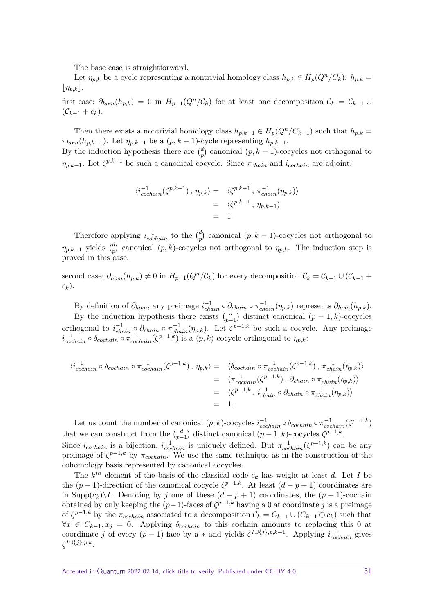The base case is straightforward.

Let  $\eta_{p,k}$  be a cycle representing a nontrivial homology class  $h_{p,k} \in H_p(Q^n/C_k)$ :  $h_{p,k} =$  $\lfloor \eta_{p,k} \rfloor$ .

first case:  $\partial_{hom}(h_{p,k}) = 0$  in  $H_{p-1}(Q^n/\mathcal{C}_k)$  for at least one decomposition  $\mathcal{C}_k = \mathcal{C}_{k-1} \cup$  $(C_{k-1} + c_k)$ .

Then there exists a nontrivial homology class  $h_{p,k-1} \in H_p(Q^n/C_{k-1})$  such that  $h_{p,k} =$  $\pi_{hom}(h_{p,k-1})$ . Let  $\eta_{p,k-1}$  be a  $(p, k-1)$ -cycle representing  $h_{p,k-1}$ .

By the induction hypothesis there are  $\binom{d}{n}$  $_p^a$  canonical  $(p, k-1)$ -cocycles not orthogonal to *n*<sub>*p*,*k*−1. Let  $\zeta^{p,k-1}$  be such a canonical cocycle. Since  $\pi_{chain}$  and *i*<sub>cochain</sub> are adjoint:</sub>

$$
\langle i_{cochain}^{-1}(\zeta^{p,k-1}), \eta_{p,k} \rangle = \langle \zeta^{p,k-1}, \pi_{chain}^{-1}(\eta_{p,k}) \rangle
$$
  
=  $\langle \zeta^{p,k-1}, \eta_{p,k-1} \rangle$   
= 1.

Therefore applying  $i_{cochain}^{-1}$  to the  $\binom{d}{p}$  $_p^d$  canonical  $(p, k-1)$ -cocycles not orthogonal to *ηp,k*−<sup>1</sup> yields *d* <sup>*d*</sup></sup><sub>*p*</sub> canonical  $(p, k)$ -cocycles not orthogonal to  $\eta_{p,k}$ . The induction step is proved in this case.

second case:  $\partial_{hom}(h_{p,k}) \neq 0$  in  $H_{p-1}(Q^n/\mathcal{C}_k)$  for every decomposition  $\mathcal{C}_k = \mathcal{C}_{k-1} \cup (\mathcal{C}_{k-1} +$ *ck*).

By definition of  $\partial_{hom}$ , any preimage  $i_{chain}^{-1} \circ \partial_{chain} \circ \pi_{chain}^{-1}(\eta_{p,k})$  represents  $\partial_{hom}(h_{p,k})$ . By the induction hypothesis there exists  $\begin{pmatrix} d \\ d \end{pmatrix}$  $p_{p-1}^d$  distinct canonical  $(p-1,k)$ -cocycles orthogonal to  $i_{chain}^{-1} \circ \partial_{chain} \circ \pi_{chain}^{-1}(\eta_{p,k})$ . Let  $\zeta^{p-1,k}$  be such a cocycle. Any preimage  $\hat{\sigma}_{cochain}^{-1} \circ \delta_{cochain} \circ \pi_{cochain}^{-1}(\zeta^{p-1,k})$  is a  $(p, k)$ -cocycle orthogonal to  $\eta_{p,k}$ :

$$
\langle i_{cochain}^{-1} \circ \delta_{cochain} \circ \pi_{cochain}^{-1}(\zeta^{p-1,k}), \eta_{p,k} \rangle = \langle \delta_{cochain} \circ \pi_{cochain}^{-1}(\zeta^{p-1,k}), \pi_{chain}^{-1}(\eta_{p,k}) \rangle
$$
  
\n
$$
= \langle \pi_{cochain}^{-1}(\zeta^{p-1,k}), \partial_{chain} \circ \pi_{chain}^{-1}(\eta_{p,k}) \rangle
$$
  
\n
$$
= \langle \zeta^{p-1,k}, i_{chain}^{-1} \circ \partial_{chain} \circ \pi_{chain}^{-1}(\eta_{p,k}) \rangle
$$

 $=$  1.

Let us count the number of canonical  $(p, k)$ -cocycles  $i_{cochain}^{-1} \circ \delta_{cochain} \circ \pi_{cochain}^{-1} (\zeta^{p-1,k})$ that we can construct from the  $\binom{d}{n-1}$  $\binom{d}{p-1}$  distinct canonical  $(p-1,k)$ -cocycles  $\zeta^{p-1,k}$ . Since  $i_{cochain}$  is a bijection,  $i_{cochain}^{-1}$  is uniquely defined. But  $\pi_{cochain}^{-1}(\zeta^{p-1,k})$  can be any preimage of  $\zeta^{p-1,k}$  by  $\pi_{cochain}$ . We use the same technique as in the construction of the cohomology basis represented by canonical cocycles.

The  $k^{th}$  element of the basis of the classical code  $c_k$  has weight at least *d*. Let *I* be the  $(p-1)$ -direction of the canonical cocycle  $\zeta^{p-1,k}$ . At least  $(d-p+1)$  coordinates are in Supp(*ck*)\*I*. Denoting by *j* one of these (*d* − *p* + 1) coordinates, the (*p* − 1)-cochain obtained by only keeping the  $(p-1)$ -faces of  $\zeta^{p-1,k}$  having a 0 at coordinate *j* is a preimage of  $\zeta^{p-1,k}$  by the  $\pi_{cochain}$  associated to a decomposition  $\mathcal{C}_k = C_{k-1} \cup (C_{k-1} \oplus c_k)$  such that  $∀x ∈ C_{k-1}, x_j = 0.$  Applying  $δ<sub>cochain</sub>$  to this cochain amounts to replacing this 0 at coordinate *j* of every  $(p-1)$ -face by a  $*$  and yields  $\zeta^{I \cup \{j\}, p, k-1}$ . Applying  $i_{cochain}^{-1}$  gives *ζ I*∪{*j*}*,p,k* .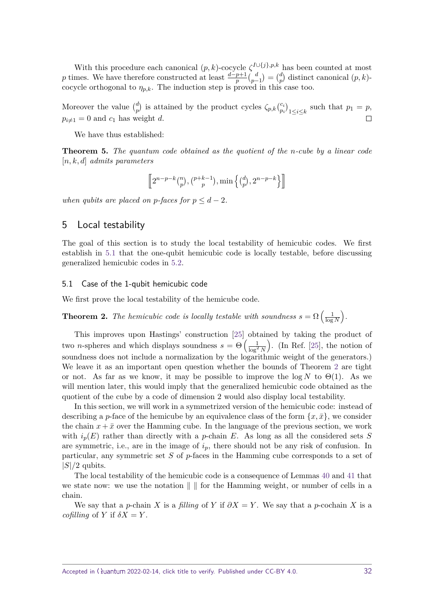With this procedure each canonical  $(p, k)$ -cocycle  $\zeta^{I \cup \{j\}, p, k}$  has been counted at most *p* times. We have therefore constructed at least  $\frac{d-p+1}{p} { \binom{d}{p}}$  $\binom{d}{p-1} = \binom{d}{p}$  $\binom{a}{p}$  distinct canonical  $(p, k)$ cocycle orthogonal to  $\eta_{p,k}$ . The induction step is proved in this case too.

Moreover the value  $\binom{d}{n}$  $\binom{d}{p}$  is attained by the product cycles  $\zeta_{p,k}$   $\binom{c_i}{p_i}$  $\binom{c_i}{p_i}_{1 \leq i \leq k}$  such that  $p_1 = p$ ,  $p_{i\neq 1} = 0$  and  $c_1$  has weight *d*.  $\Box$ 

We have thus established:

**Theorem 5.** *The quantum code obtained as the quotient of the n-cube by a linear code* [*n, k, d*] *admits parameters*

$$
\left[\!\left[2^{n-p-k}\binom{n}{p},\binom{p+k-1}{p},\min\left\{\binom{d}{p},2^{n-p-k}\right\}\right]\!\right]
$$

*when qubits are placed on p-faces for*  $p < d - 2$ *.* 

# <span id="page-31-0"></span>5 Local testability

The goal of this section is to study the local testability of hemicubic codes. We first establish in [5.1](#page-31-1) that the one-qubit hemicubic code is locally testable, before discussing generalized hemicubic codes in [5.2.](#page-35-0)

### <span id="page-31-1"></span>5.1 Case of the 1-qubit hemicubic code

We first prove the local testability of the hemicube code.

**Theorem 2.** *The hemicubic code is locally testable with soundness*  $s = \Omega\left(\frac{1}{\log n}\right)$  $\frac{1}{\log N}$ .

This improves upon Hastings' construction [\[25\]](#page-42-8) obtained by taking the product of two *n*-spheres and which displays soundness  $s = \Theta\left(\frac{1}{\log^2 N}\right)$ ). (In Ref.  $[25]$ , the notion of soundness does not include a normalization by the logarithmic weight of the generators.) We leave it as an important open question whether the bounds of Theorem [2](#page-5-0) are tight or not. As far as we know, it may be possible to improve the  $\log N$  to  $\Theta(1)$ . As we will mention later, this would imply that the generalized hemicubic code obtained as the quotient of the cube by a code of dimension 2 would also display local testability.

In this section, we will work in a symmetrized version of the hemicubic code: instead of describing a *p*-face of the hemicube by an equivalence class of the form  $\{x, \bar{x}\}\,$ , we consider the chain  $x + \bar{x}$  over the Hamming cube. In the language of the previous section, we work with  $i_p(E)$  rather than directly with a *p*-chain *E*. As long as all the considered sets *S* are symmetric, i.e., are in the image of  $i_p$ , there should not be any risk of confusion. In particular, any symmetric set *S* of *p*-faces in the Hamming cube corresponds to a set of |*S*|*/*2 qubits.

The local testability of the hemicubic code is a consequence of Lemmas [40](#page-31-2) and [41](#page-32-0) that we state now: we use the notation  $\| \cdot \|$  for the Hamming weight, or number of cells in a chain.

<span id="page-31-2"></span>We say that a *p*-chain *X* is a filling of *Y* if  $\partial X = Y$ . We say that a *p*-cochain *X* is a cofilling of *Y* if  $\delta X = Y$ .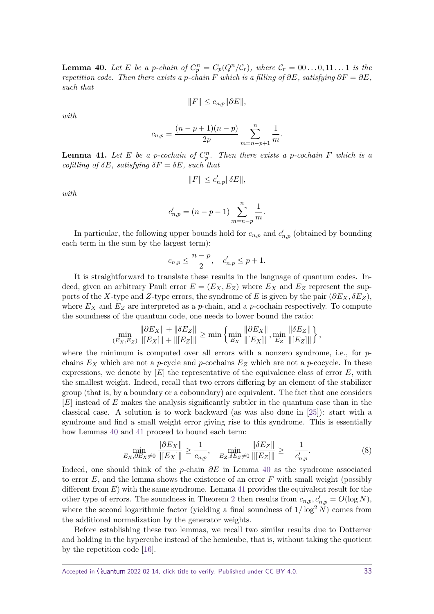**Lemma 40.** Let E be a p-chain of  $C_p^n = C_p(Q^n/\mathcal{C}_r)$ , where  $\mathcal{C}_r = 00...0, 11...1$  is the *repetition code. Then there exists a p-chain*  $F$  *which is a filling of*  $\partial E$ *, satisfying*  $\partial F = \partial E$ *, such that*

$$
||F|| \leq c_{n,p} ||\partial E||,
$$

*with*

$$
c_{n,p} = \frac{(n-p+1)(n-p)}{2p} \sum_{m=n-p+1}^{n} \frac{1}{m}.
$$

<span id="page-32-0"></span>**Lemma 41.** Let E be a p-cochain of  $C_p^n$ . Then there exists a p-cochain F which is a  $cofilling$  *of*  $\delta E$ *, satisfying*  $\delta F = \delta E$ *, such that* 

$$
||F|| \le c'_{n,p} ||\delta E||,
$$

*with*

$$
c'_{n,p} = (n-p-1) \sum_{m=n-p}^{n} \frac{1}{m}.
$$

In particular, the following upper bounds hold for  $c_{n,p}$  and  $c'_{n,p}$  (obtained by bounding each term in the sum by the largest term):

$$
c_{n,p} \le \frac{n-p}{2}, \quad c'_{n,p} \le p+1.
$$

It is straightforward to translate these results in the language of quantum codes. Indeed, given an arbitrary Pauli error  $E = (E_X, E_Z)$  where  $E_X$  and  $E_Z$  represent the supports of the *X*-type and *Z*-type errors, the syndrome of *E* is given by the pair  $(\partial E_X, \delta E_Z)$ , where  $E_X$  and  $E_Z$  are interpreted as a *p*-chain, and a *p*-cochain respectively. To compute the soundness of the quantum code, one needs to lower bound the ratio:

$$
\min_{(E_X, E_Z)} \frac{\|\partial E_X\| + \|\delta E_Z\|}{\|[E_X]\| + \|[E_Z]\|} \ge \min \left\{ \min_{E_X} \frac{\|\partial E_X\|}{\|[E_X]\|}, \min_{E_Z} \frac{\|\delta E_Z\|}{\|[E_Z]\|} \right\}
$$

where the minimum is computed over all errors with a nonzero syndrome, i.e., for *p*chains  $E_X$  which are not a *p*-cycle and *p*-cochains  $E_Z$  which are not a *p*-cocycle. In these expressions, we denote by  $[E]$  the representative of the equivalence class of error  $E$ , with the smallest weight. Indeed, recall that two errors differing by an element of the stabilizer group (that is, by a boundary or a coboundary) are equivalent. The fact that one considers [*E*] instead of *E* makes the analysis significantly subtler in the quantum case than in the classical case. A solution is to work backward (as was also done in [\[25\]](#page-42-8)): start with a syndrome and find a small weight error giving rise to this syndrome. This is essentially how Lemmas [40](#page-31-2) and [41](#page-32-0) proceed to bound each term:

$$
\min_{E_X, \partial E_X \neq 0} \frac{\|\partial E_X\|}{\|[E_X]\|} \ge \frac{1}{c_{n,p}}, \quad \min_{E_Z, \delta E_Z \neq 0} \frac{\|\delta E_Z\|}{\|[E_Z]\|} \ge \frac{1}{c'_{n,p}}.
$$
\n(8)

Indeed, one should think of the *p*-chain *∂E* in Lemma [40](#page-31-2) as the syndrome associated to error *E*, and the lemma shows the existence of an error *F* with small weight (possibly different from *E*) with the same syndrome. Lemma [41](#page-32-0) provides the equivalent result for the other type of errors. The soundness in Theorem [2](#page-5-0) then results from  $c_{n,p}$ ,  $c'_{n,p} = O(\log N)$ , where the second logarithmic factor (yielding a final soundness of  $1/\log^2 N$ ) comes from the additional normalization by the generator weights.

Before establishing these two lemmas, we recall two similar results due to Dotterrer and holding in the hypercube instead of the hemicube, that is, without taking the quotient by the repetition code [\[16\]](#page-41-10).

<span id="page-32-1"></span>Accepted in  $\lambda$ uantum 2022-02-14, click title to verify. Published under CC-BY 4.0. 33

*,*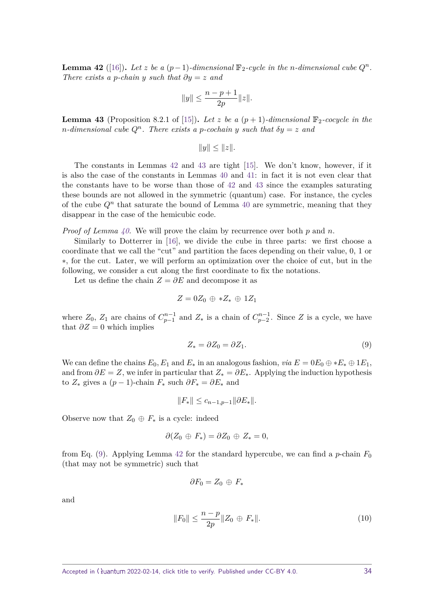**Lemma 42** ([\[16\]](#page-41-10)). Let *z* be a  $(p-1)$ *-dimensional*  $\mathbb{F}_2$ *-cycle in the n-dimensional cube*  $Q^n$ *. There exists a p*-chain *y such that*  $\partial y = z$  *and* 

$$
||y|| \leq \frac{n-p+1}{2p}||z||.
$$

<span id="page-33-0"></span>**Lemma 43** (Proposition 8.2.1 of [\[15\]](#page-41-12)). Let z be a  $(p+1)$ -dimensional  $\mathbb{F}_2$ -cocycle in the *n*-dimensional cube  $Q^n$ . There exists a *p*-cochain *y* such that  $\delta y = z$  and

$$
||y|| \leq ||z||.
$$

The constants in Lemmas [42](#page-32-1) and [43](#page-33-0) are tight [\[15\]](#page-41-12). We don't know, however, if it is also the case of the constants in Lemmas [40](#page-31-2) and [41:](#page-32-0) in fact it is not even clear that the constants have to be worse than those of [42](#page-32-1) and [43](#page-33-0) since the examples saturating these bounds are not allowed in the symmetric (quantum) case. For instance, the cycles of the cube  $Q<sup>n</sup>$  that saturate the bound of Lemma [40](#page-31-2) are symmetric, meaning that they disappear in the case of the hemicubic code.

*Proof of Lemma [40.](#page-31-2)* We will prove the claim by recurrence over both *p* and *n*.

Similarly to Dotterrer in [\[16\]](#page-41-10), we divide the cube in three parts: we first choose a coordinate that we call the "cut" and partition the faces depending on their value, 0, 1 or ∗, for the cut. Later, we will perform an optimization over the choice of cut, but in the following, we consider a cut along the first coordinate to fix the notations.

Let us define the chain  $Z = \partial E$  and decompose it as

$$
Z=0Z_0\,\oplus\,\ast Z_\ast\,\oplus\,1Z_1
$$

where  $Z_0$ ,  $Z_1$  are chains of  $C_{p-1}^{n-1}$  and  $Z_*$  is a chain of  $C_{p-2}^{n-1}$ . Since  $Z$  is a cycle, we have that  $\partial Z = 0$  which implies

<span id="page-33-1"></span>
$$
Z_* = \partial Z_0 = \partial Z_1. \tag{9}
$$

We can define the chains  $E_0, E_1$  and  $E_*$  in an analogous fashion, *via*  $E = 0E_0 \oplus E_* \oplus 1E_1$ , and from  $\partial E = Z$ , we infer in particular that  $Z_* = \partial E_*$ . Applying the induction hypothesis to  $Z_*$  gives a  $(p-1)$ -chain  $F_*$  such  $\partial F_* = \partial E_*$  and

$$
||F_*|| \leq c_{n-1,p-1} ||\partial E_*||.
$$

Observe now that  $Z_0 \oplus F_*$  is a cycle: indeed

$$
\partial (Z_0 \oplus F_*) = \partial Z_0 \oplus Z_* = 0,
$$

from Eq. [\(9\)](#page-33-1). Applying Lemma [42](#page-32-1) for the standard hypercube, we can find a *p*-chain  $F_0$ (that may not be symmetric) such that

<span id="page-33-2"></span>
$$
\partial F_0 = Z_0 \oplus F_*
$$

and

$$
||F_0|| \le \frac{n-p}{2p} ||Z_0 \oplus F_*||. \tag{10}
$$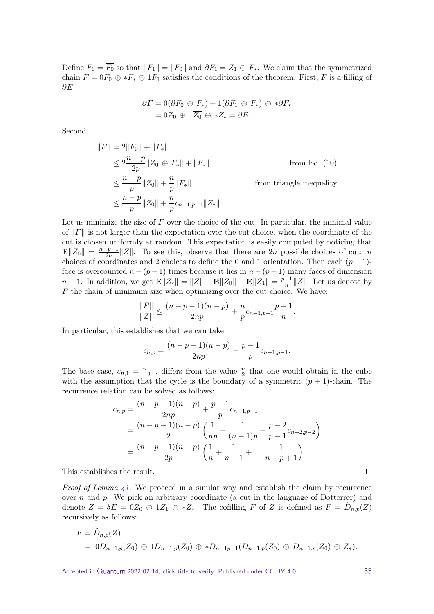Define  $F_1 = \overline{F_0}$  so that  $||F_1|| = ||F_0||$  and  $\partial F_1 = Z_1 \oplus F_*$ . We claim that the symmetrized chain  $F = 0F_0 \oplus *F_* \oplus 1F_1$  satisfies the conditions of the theorem. First, *F* is a filling of *∂E*:

$$
\partial F = 0(\partial F_0 \oplus F_*) + 1(\partial F_1 \oplus F_*) \oplus * \partial F_*
$$
  
= 0Z<sub>0</sub>  $\oplus$  1Z<sub>0</sub>  $\oplus$  \*Z<sub>\*</sub> =  $\partial E$ .

Second

$$
||F|| = 2||F_0|| + ||F_*||
$$
  
\n
$$
\leq 2\frac{n-p}{2p}||Z_0 \oplus F_*|| + ||F_*||
$$
 from Eq. (10)  
\n
$$
\leq \frac{n-p}{p}||Z_0|| + \frac{n}{p}||F_*||
$$
 from triangle inequality  
\n
$$
\leq \frac{n-p}{p}||Z_0|| + \frac{n}{p}c_{n-1,p-1}||Z_*||
$$

Let us minimize the size of  $F$  over the choice of the cut. In particular, the minimal value of  $\Vert F \Vert$  is not larger than the expectation over the cut choice, when the coordinate of the cut is chosen uniformly at random. This expectation is easily computed by noticing that  $\mathbb{E} \|Z_0\| = \frac{n-p+1}{2n}$  $\frac{2p+1}{2n}||Z||$ . To see this, observe that there are 2*n* possible choices of cut: *n* choices of coordinates and 2 choices to define the 0 and 1 orientation. Then each  $(p-1)$ face is overcounted  $n - (p - 1)$  times because it lies in  $n - (p - 1)$  many faces of dimension *n* − 1. In addition, we get  $\mathbb{E} \|Z_*\| = \|Z\| - \mathbb{E} \|Z_0\| - \mathbb{E} \|Z_1\| = \frac{p-1}{n}$  $\frac{-1}{n}$ ||*Z*||. Let us denote by *F* the chain of minimum size when optimizing over the cut choice. We have:

$$
\frac{\|F\|}{\|Z\|} \le \frac{(n-p-1)(n-p)}{2np} + \frac{n}{p}c_{n-1,p-1}\frac{p-1}{n}.
$$

In particular, this establishes that we can take

$$
c_{n,p} = \frac{(n-p-1)(n-p)}{2np} + \frac{p-1}{p}c_{n-1,p-1}.
$$

The base case,  $c_{n,1} = \frac{n-1}{2}$  $\frac{-1}{2}$ , differs from the value  $\frac{n}{2}$  that one would obtain in the cube with the assumption that the cycle is the boundary of a symmetric  $(p + 1)$ -chain. The recurrence relation can be solved as follows:

$$
c_{n,p} = \frac{(n-p-1)(n-p)}{2np} + \frac{p-1}{p}c_{n-1,p-1}
$$
  
= 
$$
\frac{(n-p-1)(n-p)}{2} \left(\frac{1}{np} + \frac{1}{(n-1)p} + \frac{p-2}{p-1}c_{n-2,p-2}\right)
$$
  
= 
$$
\frac{(n-p-1)(n-p)}{2p} \left(\frac{1}{n} + \frac{1}{n-1} + \dots + \frac{1}{n-p+1}\right).
$$

This establishes the result.

*Proof of Lemma [41.](#page-32-0)* We proceed in a similar way and establish the claim by recurrence over *n* and *p*. We pick an arbitrary coordinate (a cut in the language of Dotterrer) and denote  $Z = \delta E = 0Z_0 \oplus 1Z_1 \oplus *Z_*$ . The cofilling *F* of *Z* is defined as  $F = \tilde{D}_{n,p}(Z)$ recursively as follows:

$$
F = \tilde{D}_{n,p}(Z)
$$
  
=:  $0D_{n-1,p}(Z_0) \oplus 1\overline{D_{n-1,p}(Z_0)} \oplus * \tilde{D}_{n-1,p-1}(D_{n-1,p}(Z_0) \oplus \overline{D_{n-1,p}(Z_0)} \oplus Z_*).$ 

 $\Box$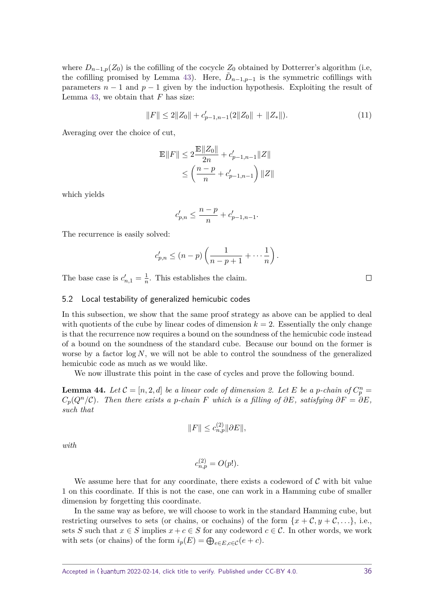where  $D_{n-1,p}(Z_0)$  is the cofilling of the cocycle  $Z_0$  obtained by Dotterrer's algorithm (i.e, the cofilling promised by Lemma [43\)](#page-33-0). Here,  $\tilde{D}_{n-1,p-1}$  is the symmetric cofillings with parameters  $n-1$  and  $p-1$  given by the induction hypothesis. Exploiting the result of Lemma [43,](#page-33-0) we obtain that *F* has size:

$$
||F|| \le 2||Z_0|| + c'_{p-1,n-1}(2||Z_0|| + ||Z_*||). \tag{11}
$$

Averaging over the choice of cut,

$$
\begin{aligned} \mathbb{E} \| F \| & \leq 2 \frac{\mathbb{E} \| Z_0 \|}{2n} + c'_{p-1,n-1} \| Z \| \\ & \leq \left( \frac{n-p}{n} + c'_{p-1,n-1} \right) \| Z \| \end{aligned}
$$

which yields

$$
c'_{p,n}\leq \frac{n-p}{n}+c'_{p-1,n-1}.
$$

The recurrence is easily solved:

$$
c'_{p,n} \le (n-p)\left(\frac{1}{n-p+1} + \cdots + \frac{1}{n}\right).
$$

The base case is  $c'_{n,1} = \frac{1}{n}$  $\frac{1}{n}$ . This establishes the claim.

# <span id="page-35-0"></span>5.2 Local testability of generalized hemicubic codes

In this subsection, we show that the same proof strategy as above can be applied to deal with quotients of the cube by linear codes of dimension  $k = 2$ . Essentially the only change is that the recurrence now requires a bound on the soundness of the hemicubic code instead of a bound on the soundness of the standard cube. Because our bound on the former is worse by a factor  $\log N$ , we will not be able to control the soundness of the generalized hemicubic code as much as we would like.

We now illustrate this point in the case of cycles and prove the following bound.

<span id="page-35-1"></span>**Lemma 44.** Let  $C = [n, 2, d]$  be a linear code of dimension 2. Let E be a p-chain of  $C_p^n =$  $C_p(Q^n/\mathcal{C})$ . Then there exists a *p*-chain *F* which is a filling of  $\partial E$ , satisfying  $\partial F = \partial E$ , *such that*

$$
||F|| \le c_{n,p}^{(2)} ||\partial E||,
$$

*with*

$$
c_{n,p}^{(2)} = O(p!).
$$

We assume here that for any coordinate, there exists a codeword of  $\mathcal C$  with bit value 1 on this coordinate. If this is not the case, one can work in a Hamming cube of smaller dimension by forgetting this coordinate.

In the same way as before, we will choose to work in the standard Hamming cube, but restricting ourselves to sets (or chains, or cochains) of the form  $\{x + \mathcal{C}, y + \mathcal{C}, ...\}$ , i.e., sets *S* such that  $x \in S$  implies  $x + c \in S$  for any codeword  $c \in C$ . In other words, we work with sets (or chains) of the form  $i_p(E) = \bigoplus_{e \in E, c \in C} (e + c)$ .

<span id="page-35-2"></span> $\Box$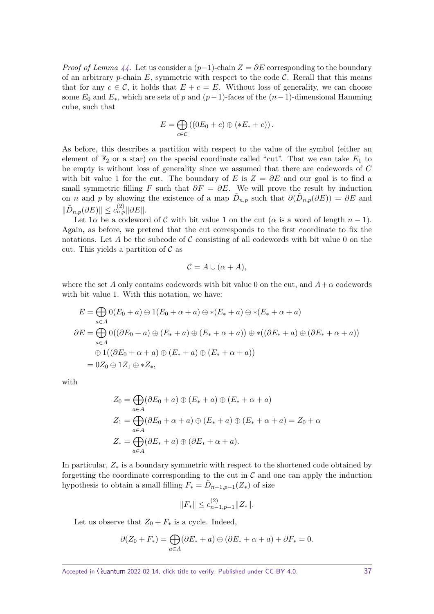*Proof of Lemma*  $44$ . Let us consider a  $(p-1)$ -chain  $Z = \partial E$  corresponding to the boundary of an arbitrary *p*-chain  $E$ , symmetric with respect to the code  $C$ . Recall that this means that for any  $c \in \mathcal{C}$ , it holds that  $E + c = E$ . Without loss of generality, we can choose some  $E_0$  and  $E_*$ , which are sets of *p* and  $(p-1)$ -faces of the  $(n-1)$ -dimensional Hamming cube, such that

$$
E = \bigoplus_{c \in C} \left( (0E_0 + c) \oplus (*E_* + c) \right).
$$

As before, this describes a partition with respect to the value of the symbol (either an element of  $\mathbb{F}_2$  or a star) on the special coordinate called "cut". That we can take  $E_1$  to be empty is without loss of generality since we assumed that there are codewords of *C* with bit value 1 for the cut. The boundary of *E* is  $Z = \partial E$  and our goal is to find a small symmetric filling *F* such that  $\partial F = \partial E$ . We will prove the result by induction on *n* and *p* by showing the existence of a map  $\tilde{D}_{n,p}$  such that  $\partial(\tilde{D}_{n,p}(\partial E)) = \partial E$  and  $\|\tilde{D}_{n,p}(\partial E)\| \leq c_{n,p}^{(2)}\|\partial E\|.$ 

Let  $1\alpha$  be a codeword of C with bit value 1 on the cut ( $\alpha$  is a word of length  $n-1$ ). Again, as before, we pretend that the cut corresponds to the first coordinate to fix the notations. Let A be the subcode of C consisting of all codewords with bit value 0 on the cut. This yields a partition of  $\mathcal C$  as

$$
\mathcal{C} = A \cup (\alpha + A),
$$

where the set *A* only contains codewords with bit value 0 on the cut, and  $A + \alpha$  codewords with bit value 1. With this notation, we have:

$$
E = \bigoplus_{a \in A} 0(E_0 + a) \oplus 1(E_0 + \alpha + a) \oplus *(E_* + a) \oplus *(E_* + \alpha + a)
$$
  
\n
$$
\partial E = \bigoplus_{a \in A} 0((\partial E_0 + a) \oplus (E_* + a) \oplus (E_* + \alpha + a)) \oplus *((\partial E_* + a) \oplus (\partial E_* + \alpha + a))
$$
  
\n
$$
\oplus 1((\partial E_0 + \alpha + a) \oplus (E_* + a) \oplus (E_* + \alpha + a))
$$
  
\n
$$
= 0Z_0 \oplus 1Z_1 \oplus *Z_*,
$$

with

$$
Z_0 = \bigoplus_{a \in A} (\partial E_0 + a) \oplus (E_* + a) \oplus (E_* + \alpha + a)
$$
  
\n
$$
Z_1 = \bigoplus_{a \in A} (\partial E_0 + \alpha + a) \oplus (E_* + a) \oplus (E_* + \alpha + a) = Z_0 + \alpha
$$
  
\n
$$
Z_* = \bigoplus_{a \in A} (\partial E_* + a) \oplus (\partial E_* + \alpha + a).
$$

In particular, *Z*<sup>∗</sup> is a boundary symmetric with respect to the shortened code obtained by forgetting the coordinate corresponding to the cut in  $\mathcal C$  and one can apply the induction hypothesis to obtain a small filling  $F_* = \tilde{D}_{n-1,p-1}(Z_*)$  of size

$$
||F_*|| \le c_{n-1,p-1}^{(2)} ||Z_*||.
$$

Let us observe that  $Z_0 + F_*$  is a cycle. Indeed,

$$
\partial (Z_0 + F_*) = \bigoplus_{a \in A} (\partial E_* + a) \oplus (\partial E_* + \alpha + a) + \partial F_* = 0.
$$

Accepted in  $\lambda$ uantum 2022-02-14, click title to verify. Published under CC-BY 4.0. 37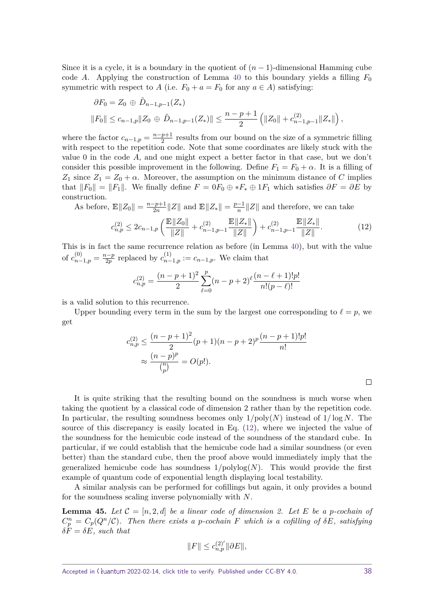Since it is a cycle, it is a boundary in the quotient of  $(n-1)$ -dimensional Hamming cube code *A*. Applying the construction of Lemma [40](#page-31-2) to this boundary yields a filling  $F_0$ symmetric with respect to *A* (i.e.  $F_0 + a = F_0$  for any  $a \in A$ ) satisfying:

$$
\partial F_0 = Z_0 \oplus \tilde{D}_{n-1,p-1}(Z_*)
$$
  
 
$$
||F_0|| \leq c_{n-1,p} ||Z_0 \oplus \tilde{D}_{n-1,p-1}(Z_*)|| \leq \frac{n-p+1}{2} (||Z_0|| + c_{n-1,p-1}^{(2)}||Z_*||),
$$

where the factor  $c_{n-1,p} = \frac{n-p+1}{2}$  $\frac{p+1}{2}$  results from our bound on the size of a symmetric filling with respect to the repetition code. Note that some coordinates are likely stuck with the value 0 in the code *A*, and one might expect a better factor in that case, but we don't consider this possible improvement in the following. Define  $F_1 = F_0 + \alpha$ . It is a filling of  $Z_1$  since  $Z_1 = Z_0 + \alpha$ . Moreover, the assumption on the minimum distance of *C* implies that  $||F_0|| = ||F_1||$ . We finally define  $F = 0F_0 \oplus *F_* \oplus 1F_1$  which satisfies  $\partial F = \partial E$  by construction.

As before,  $\mathbb{E} \|Z_0\| = \frac{n-p+1}{2n}$  $\frac{p+1}{2n}$ ||Z|| and  $\mathbb{E}||Z_*|| = \frac{p-1}{n}$  $\frac{-1}{n}$ ||Z|| and therefore, we can take

$$
c_{n,p}^{(2)} \le 2c_{n-1,p} \left( \frac{\mathbb{E} \|Z_0\|}{\|Z\|} + c_{n-1,p-1}^{(2)} \frac{\mathbb{E} \|Z_*\|}{\|Z\|} \right) + c_{n-1,p-1}^{(2)} \frac{\mathbb{E} \|Z_*\|}{\|Z\|}. \tag{12}
$$

This is in fact the same recurrence relation as before (in Lemma [40\)](#page-31-2), but with the value of  $c_{n-1,p}^{(0)} = \frac{n-p}{2p}$  $\frac{a-p}{2p}$  replaced by  $c_{n-1,p}^{(1)} := c_{n-1,p}$ . We claim that

$$
c_{n,p}^{(2)} = \frac{(n-p+1)^2}{2} \sum_{\ell=0}^{p} (n-p+2)^{\ell} \frac{(n-\ell+1)!p!}{n!(p-\ell)!}
$$

is a valid solution to this recurrence.

Upper bounding every term in the sum by the largest one corresponding to  $\ell = p$ , we get

$$
c_{n,p}^{(2)} \le \frac{(n-p+1)^2}{2}(p+1)(n-p+2)^p \frac{(n-p+1)!p!}{n!}
$$
  

$$
\approx \frac{(n-p)^p}{\binom{n}{p}} = O(p!).
$$

It is quite striking that the resulting bound on the soundness is much worse when taking the quotient by a classical code of dimension 2 rather than by the repetition code. In particular, the resulting soundness becomes only 1*/*poly(*N*) instead of 1*/* log *N*. The source of this discrepancy is easily located in Eq. [\(12\)](#page-37-0), where we injected the value of the soundness for the hemicubic code instead of the soundness of the standard cube. In particular, if we could establish that the hemicube code had a similar soundness (or even better) than the standard cube, then the proof above would immediately imply that the generalized hemicube code has soundness  $1/polylog(N)$ . This would provide the first example of quantum code of exponential length displaying local testability.

A similar analysis can be performed for cofillings but again, it only provides a bound for the soundness scaling inverse polynomially with *N*.

**Lemma 45.** Let  $\mathcal{C} = [n, 2, d]$  be a linear code of dimension 2. Let E be a p-cochain of  $C_p^n = C_p(Q^n/\mathcal{C})$ . Then there exists a *p*-cochain *F* which is a cofilling of  $\delta E$ , satisfying  $\delta F = \delta E$ *, such that* 

$$
||F|| \le c_{n,p}^{(2)'} ||\partial E||,
$$

<span id="page-37-0"></span> $\Box$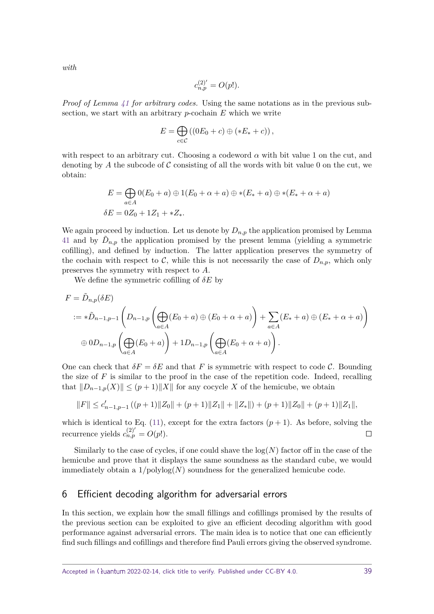$$
c_{n,p}^{(2)'} = O(p!).
$$

*Proof of Lemma [41](#page-32-0) for arbitrary codes.* Using the same notations as in the previous subsection, we start with an arbitrary *p*-cochain *E* which we write

$$
E = \bigoplus_{c \in \mathcal{C}} \left( \left( 0E_0 + c \right) \oplus \left( *E_* + c \right) \right),
$$

with respect to an arbitrary cut. Choosing a codeword  $\alpha$  with bit value 1 on the cut, and denoting by A the subcode of C consisting of all the words with bit value 0 on the cut, we obtain:

$$
E = \bigoplus_{a \in A} 0(E_0 + a) \oplus 1(E_0 + \alpha + a) \oplus *(E_* + a) \oplus *(E_* + \alpha + a)
$$
  

$$
\delta E = 0Z_0 + 1Z_1 + *Z_*
$$

We again proceed by induction. Let us denote by  $D_{n,p}$  the application promised by Lemma [41](#page-32-0) and by  $\tilde{D}_{n,p}$  the application promised by the present lemma (yielding a symmetric cofilling), and defined by induction. The latter application preserves the symmetry of the cochain with respect to  $\mathcal{C}$ , while this is not necessarily the case of  $D_{n,p}$ , which only preserves the symmetry with respect to *A*.

We define the symmetric cofilling of *δE* by

$$
F = \tilde{D}_{n,p}(\delta E)
$$
  

$$
:= * \tilde{D}_{n-1,p-1} \left( D_{n-1,p} \left( \bigoplus_{a \in A} (E_0 + a) \oplus (E_0 + \alpha + a) \right) + \sum_{a \in A} (E_* + a) \oplus (E_* + \alpha + a) \right)
$$
  

$$
\oplus 0 D_{n-1,p} \left( \bigoplus_{a \in A} (E_0 + a) \right) + 1 D_{n-1,p} \left( \bigoplus_{a \in A} (E_0 + \alpha + a) \right).
$$

One can check that  $\delta F = \delta E$  and that *F* is symmetric with respect to code *C*. Bounding the size of F is similar to the proof in the case of the repetition code. Indeed, recalling that  $||D_{n-1,p}(X)|| \leq (p+1)||X||$  for any cocycle X of the hemicube, we obtain

$$
\|F\| \leq c'_{n-1,p-1}\left((p+1)\|Z_0\| + (p+1)\|Z_1\| + \|Z_*\|\right) + (p+1)\|Z_0\| + (p+1)\|Z_1\|,
$$

which is identical to Eq.  $(11)$ , except for the extra factors  $(p+1)$ . As before, solving the recurrence yields  $c_{n,p}^{(2)'} = O(p!)$ .  $\Box$ 

Similarly to the case of cycles, if one could shave the  $log(N)$  factor off in the case of the hemicube and prove that it displays the same soundness as the standard cube, we would immediately obtain a  $1/\text{polylog}(N)$  soundness for the generalized hemicube code.

# <span id="page-38-0"></span>6 Efficient decoding algorithm for adversarial errors

In this section, we explain how the small fillings and cofillings promised by the results of the previous section can be exploited to give an efficient decoding algorithm with good performance against adversarial errors. The main idea is to notice that one can efficiently find such fillings and cofillings and therefore find Pauli errors giving the observed syndrome.

*with*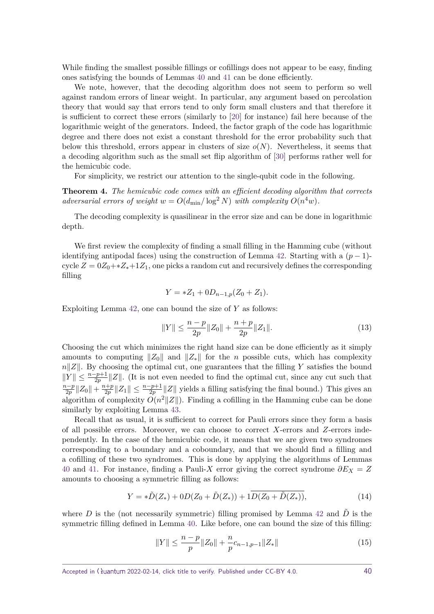While finding the smallest possible fillings or cofillings does not appear to be easy, finding ones satisfying the bounds of Lemmas [40](#page-31-2) and [41](#page-32-0) can be done efficiently.

We note, however, that the decoding algorithm does not seem to perform so well against random errors of linear weight. In particular, any argument based on percolation theory that would say that errors tend to only form small clusters and that therefore it is sufficient to correct these errors (similarly to [\[20\]](#page-41-11) for instance) fail here because of the logarithmic weight of the generators. Indeed, the factor graph of the code has logarithmic degree and there does not exist a constant threshold for the error probability such that below this threshold, errors appear in clusters of size  $o(N)$ . Nevertheless, it seems that a decoding algorithm such as the small set flip algorithm of [\[30\]](#page-42-7) performs rather well for the hemicubic code.

For simplicity, we restrict our attention to the single-qubit code in the following.

**Theorem 4.** *The hemicubic code comes with an efficient decoding algorithm that corrects adversarial errors of weight*  $w = O(d_{\min}/\log^2 N)$  *with complexity*  $O(n^4w)$ *.* 

The decoding complexity is quasilinear in the error size and can be done in logarithmic depth.

We first review the complexity of finding a small filling in the Hamming cube (without identifying antipodal faces) using the construction of Lemma [42.](#page-32-1) Starting with a  $(p-1)$ cycle  $Z = 0Z_0 + *Z_* +1Z_1$ , one picks a random cut and recursively defines the corresponding filling

$$
Y = *Z_1 + 0D_{n-1,p}(Z_0 + Z_1).
$$

Exploiting Lemma [42,](#page-32-1) one can bound the size of *Y* as follows:

$$
||Y|| \le \frac{n-p}{2p} ||Z_0|| + \frac{n+p}{2p} ||Z_1||. \tag{13}
$$

Choosing the cut which minimizes the right hand size can be done efficiently as it simply amounts to computing  $||Z_0||$  and  $||Z_*||$  for the *n* possible cuts, which has complexity  $n||Z||$ . By choosing the optimal cut, one guarantees that the filling *Y* satisfies the bound  $||Y|| \leq \frac{n-p+1}{2p} ||Z||$ . (It is not even needed to find the optimal cut, since any cut such that *n*−*p*  $\frac{n-p}{2p}||Z_0|| + \frac{n+p}{2p}$  $\frac{p+2}{2p}$ ||Z<sub>1</sub>|| ≤  $\frac{n-p+1}{2p}$ ||Z|| yields a filling satisfying the final bound.) This gives an algorithm of complexity  $O(n^2||Z||)$ . Finding a cofilling in the Hamming cube can be done similarly by exploiting Lemma [43.](#page-33-0)

Recall that as usual, it is sufficient to correct for Pauli errors since they form a basis of all possible errors. Moreover, we can choose to correct *X*-errors and *Z*-errors independently. In the case of the hemicubic code, it means that we are given two syndromes corresponding to a boundary and a coboundary, and that we should find a filling and a cofilling of these two syndromes. This is done by applying the algorithms of Lemmas [40](#page-31-2) and [41.](#page-32-0) For instance, finding a Pauli-X error giving the correct syndrome  $\partial E_X = Z$ amounts to choosing a symmetric filling as follows:

$$
Y = *\tilde{D}(Z_*) + 0D(Z_0 + \tilde{D}(Z_*)) + 1\overline{D(Z_0 + \tilde{D}(Z_*))},\tag{14}
$$

where *D* is the (not necessarily symmetric) filling promised by Lemma [42](#page-32-1) and  $\tilde{D}$  is the symmetric filling defined in Lemma [40.](#page-31-2) Like before, one can bound the size of this filling:

$$
||Y|| \leq \frac{n-p}{p} ||Z_0|| + \frac{n}{p} c_{n-1,p-1} ||Z_*|| \tag{15}
$$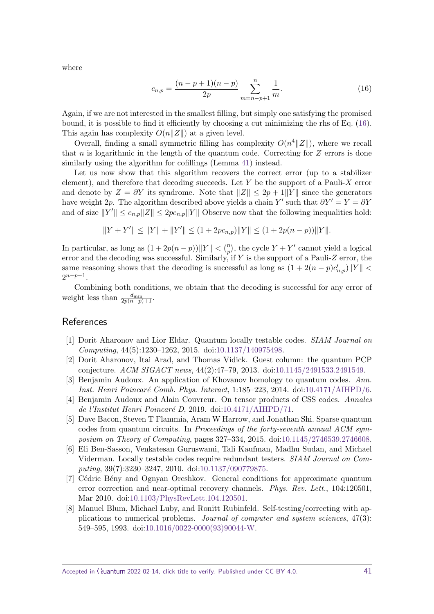where

<span id="page-40-8"></span>
$$
c_{n,p} = \frac{(n-p+1)(n-p)}{2p} \sum_{m=n-p+1}^{n} \frac{1}{m}.\tag{16}
$$

Again, if we are not interested in the smallest filling, but simply one satisfying the promised bound, it is possible to find it efficiently by choosing a cut minimizing the rhs of Eq. [\(16\)](#page-40-8). This again has complexity  $O(n||Z||)$  at a given level.

Overall, finding a small symmetric filling has complexity  $O(n^4 ||Z||)$ , where we recall that *n* is logarithmic in the length of the quantum code. Correcting for *Z* errors is done similarly using the algorithm for cofillings (Lemma [41\)](#page-32-0) instead.

Let us now show that this algorithm recovers the correct error (up to a stabilizer element), and therefore that decoding succeeds. Let *Y* be the support of a Pauli-*X* error and denote by  $Z = \partial Y$  its syndrome. Note that  $||Z|| \leq 2p + 1||Y||$  since the generators have weight 2p. The algorithm described above yields a chain *Y'* such that  $\partial Y' = Y = \partial Y$ and of size  $||Y'|| \leq c_{n,p} ||Z|| \leq 2pc_{n,p} ||Y||$  Observe now that the following inequalities hold:

$$
||Y + Y'|| \le ||Y|| + ||Y'|| \le (1 + 2pc_{n,p}) ||Y|| \le (1 + 2p(n - p)) ||Y||.
$$

In particular, as long as  $(1 + 2p(n - p))||Y|| < \binom{n}{p}$ , the cycle  $Y + Y'$  cannot yield a logical error and the decoding was successful. Similarly, if *Y* is the support of a Pauli-*Z* error, the same reasoning shows that the decoding is successful as long as  $(1 + 2(n - p)c'_{n,p})||Y|| <$  $2^{n-p-1}$ .

Combining both conditions, we obtain that the decoding is successful for any error of weight less than  $\frac{d_{\min}}{2p(n-p)+1}$ .

# References

- <span id="page-40-2"></span>[1] Dorit Aharonov and Lior Eldar. Quantum locally testable codes. SIAM Journal on Computing, 44(5):1230–1262, 2015. doi[:10.1137/140975498.](https://doi.org/10.1137/140975498)
- <span id="page-40-0"></span>[2] Dorit Aharonov, Itai Arad, and Thomas Vidick. Guest column: the quantum PCP conjecture. ACM SIGACT news, 44(2):47–79, 2013. doi[:10.1145/2491533.2491549.](https://doi.org/10.1145/2491533.2491549)
- <span id="page-40-5"></span>[3] Benjamin Audoux. An application of Khovanov homology to quantum codes. Ann. Inst. Henri Poincaré Comb. Phys. Interact, 1:185–223, 2014. doi[:10.4171/AIHPD/6.](https://doi.org/10.4171/AIHPD/6)
- <span id="page-40-6"></span>[4] Benjamin Audoux and Alain Couvreur. On tensor products of CSS codes. Annales de l'Institut Henri Poincaré D, 2019. doi[:10.4171/AIHPD/71.](https://doi.org/10.4171/AIHPD/71)
- <span id="page-40-4"></span>[5] Dave Bacon, Steven T Flammia, Aram W Harrow, and Jonathan Shi. Sparse quantum codes from quantum circuits. In *Proceedings of the forty-seventh annual ACM sym*posium on Theory of Computing, pages 327–334, 2015. doi[:10.1145/2746539.2746608.](https://doi.org/10.1145/2746539.2746608)
- <span id="page-40-7"></span>[6] Eli Ben-Sasson, Venkatesan Guruswami, Tali Kaufman, Madhu Sudan, and Michael Viderman. Locally testable codes require redundant testers. SIAM Journal on Computing, 39(7):3230–3247, 2010. doi[:10.1137/090779875.](https://doi.org/10.1137/090779875)
- <span id="page-40-3"></span>[7] Cédric Bény and Ognyan Oreshkov. General conditions for approximate quantum error correction and near-optimal recovery channels. Phys. Rev. Lett., 104:120501, Mar 2010. doi[:10.1103/PhysRevLett.104.120501.](https://doi.org/10.1103/PhysRevLett.104.120501)
- <span id="page-40-1"></span>[8] Manuel Blum, Michael Luby, and Ronitt Rubinfeld. Self-testing/correcting with applications to numerical problems. Journal of computer and system sciences, 47(3): 549–595, 1993. doi[:10.1016/0022-0000\(93\)90044-W.](https://doi.org/10.1016/0022-0000(93)90044-W)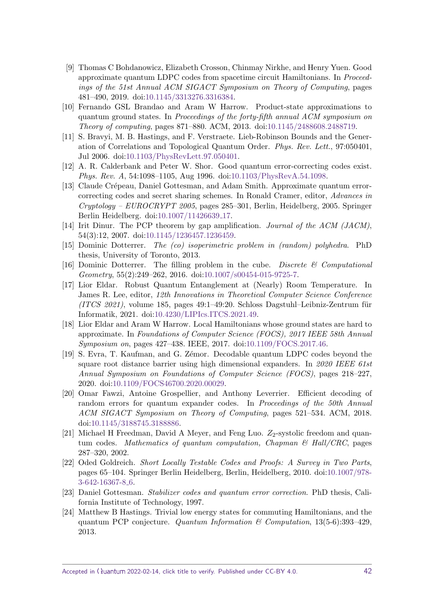- <span id="page-41-9"></span>[9] Thomas C Bohdanowicz, Elizabeth Crosson, Chinmay Nirkhe, and Henry Yuen. Good approximate quantum LDPC codes from spacetime circuit Hamiltonians. In Proceedings of the 51st Annual ACM SIGACT Symposium on Theory of Computing, pages 481–490, 2019. doi[:10.1145/3313276.3316384.](https://doi.org/10.1145/3313276.3316384)
- <span id="page-41-5"></span>[10] Fernando GSL Brandao and Aram W Harrow. Product-state approximations to quantum ground states. In Proceedings of the forty-fifth annual ACM symposium on Theory of computing, pages 871–880. ACM, 2013. doi[:10.1145/2488608.2488719.](https://doi.org/10.1145/2488608.2488719)
- <span id="page-41-0"></span>[11] S. Bravyi, M. B. Hastings, and F. Verstraete. Lieb-Robinson Bounds and the Generation of Correlations and Topological Quantum Order. Phys. Rev. Lett., 97:050401, Jul 2006. doi[:10.1103/PhysRevLett.97.050401.](https://doi.org/10.1103/PhysRevLett.97.050401)
- <span id="page-41-15"></span>[12] A. R. Calderbank and Peter W. Shor. Good quantum error-correcting codes exist. Phys. Rev. A, 54:1098–1105, Aug 1996. doi[:10.1103/PhysRevA.54.1098.](https://doi.org/10.1103/PhysRevA.54.1098)
- <span id="page-41-8"></span>[13] Claude Crépeau, Daniel Gottesman, and Adam Smith. Approximate quantum errorcorrecting codes and secret sharing schemes. In Ronald Cramer, editor, Advances in  $Cryptology - EUROCRYPT 2005$ , pages 285–301, Berlin, Heidelberg, 2005. Springer Berlin Heidelberg. doi[:10.1007/11426639](https://doi.org/10.1007/11426639_17) 17.
- <span id="page-41-2"></span>[14] Irit Dinur. The PCP theorem by gap amplification. Journal of the ACM (JACM), 54(3):12, 2007. doi[:10.1145/1236457.1236459.](https://doi.org/10.1145/1236457.1236459)
- <span id="page-41-12"></span>[15] Dominic Dotterrer. The (co) isoperimetric problem in (random) polyhedra. PhD thesis, University of Toronto, 2013.
- <span id="page-41-10"></span>[16] Dominic Dotterrer. The filling problem in the cube. Discrete  $\mathcal{C}$  Computational Geometry, 55(2):249–262, 2016. doi[:10.1007/s00454-015-9725-7.](https://doi.org/10.1007/s00454-015-9725-7)
- <span id="page-41-13"></span>[17] Lior Eldar. Robust Quantum Entanglement at (Nearly) Room Temperature. In James R. Lee, editor, 12th Innovations in Theoretical Computer Science Conference  $(T\text{C}S 2021)$ , volume 185, pages 49:1–49:20. Schloss Dagstuhl–Leibniz-Zentrum für Informatik, 2021. doi[:10.4230/LIPIcs.ITCS.2021.49.](https://doi.org/10.4230/LIPIcs.ITCS.2021.49)
- <span id="page-41-3"></span>[18] Lior Eldar and Aram W Harrow. Local Hamiltonians whose ground states are hard to approximate. In Foundations of Computer Science (FOCS), 2017 IEEE 58th Annual Symposium on, pages 427–438. IEEE, 2017. doi[:10.1109/FOCS.2017.46.](https://doi.org/10.1109/FOCS.2017.46)
- <span id="page-41-7"></span>[19] S. Evra, T. Kaufman, and G. Z´emor. Decodable quantum LDPC codes beyond the square root distance barrier using high dimensional expanders. In 2020 IEEE 61st Annual Symposium on Foundations of Computer Science (FOCS), pages 218–227, 2020. doi[:10.1109/FOCS46700.2020.00029.](https://doi.org/10.1109/FOCS46700.2020.00029)
- <span id="page-41-11"></span>[20] Omar Fawzi, Antoine Grospellier, and Anthony Leverrier. Efficient decoding of random errors for quantum expander codes. In Proceedings of the 50th Annual ACM SIGACT Symposium on Theory of Computing, pages 521–534. ACM, 2018. doi[:10.1145/3188745.3188886.](https://doi.org/10.1145/3188745.3188886)
- <span id="page-41-6"></span>[21] Michael H Freedman, David A Meyer, and Feng Luo.  $Z_2$ -systolic freedom and quantum codes. Mathematics of quantum computation, Chapman  $\mathcal{C}'$  Hall/CRC, pages 287–320, 2002.
- <span id="page-41-4"></span>[22] Oded Goldreich. Short Locally Testable Codes and Proofs: A Survey in Two Parts, pages 65–104. Springer Berlin Heidelberg, Berlin, Heidelberg, 2010. doi[:10.1007/978-](https://doi.org/10.1007/978-3-642-16367-8_6) [3-642-16367-8](https://doi.org/10.1007/978-3-642-16367-8_6) 6.
- <span id="page-41-14"></span>[23] Daniel Gottesman. Stabilizer codes and quantum error correction. PhD thesis, California Institute of Technology, 1997.
- <span id="page-41-1"></span>[24] Matthew B Hastings. Trivial low energy states for commuting Hamiltonians, and the quantum PCP conjecture. Quantum Information  $\mathcal{B}$  Computation, 13(5-6):393-429, 2013.

Accepted in  $\lambda$ uantum 2022-02-14, click title to verify. Published under CC-BY 4.0. 42